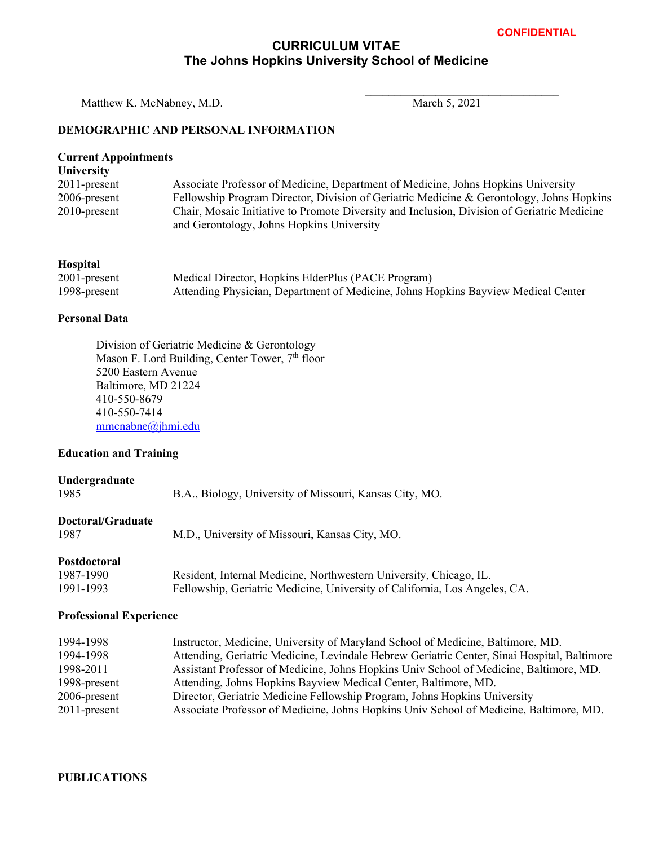## **CURRICULUM VITAE The Johns Hopkins University School of Medicine**

Matthew K. McNabney, M.D. March 5, 2021

 $\mathcal{L}_\text{max}$ 

## **DEMOGRAPHIC AND PERSONAL INFORMATION**

| <b>Current Appointments</b><br><b>University</b> |                                                                                                                                          |
|--------------------------------------------------|------------------------------------------------------------------------------------------------------------------------------------------|
| $2011$ -present                                  | Associate Professor of Medicine, Department of Medicine, Johns Hopkins University                                                        |
| $2006$ -present                                  | Fellowship Program Director, Division of Geriatric Medicine & Gerontology, Johns Hopkins                                                 |
| $2010$ -present                                  | Chair, Mosaic Initiative to Promote Diversity and Inclusion, Division of Geriatric Medicine<br>and Gerontology, Johns Hopkins University |
| <b>Hospital</b>                                  |                                                                                                                                          |
| $2001$ -present                                  | Medical Director, Hopkins ElderPlus (PACE Program)                                                                                       |
| 1998-present                                     | Attending Physician, Department of Medicine, Johns Hopkins Bayview Medical Center                                                        |

#### **Personal Data**

Division of Geriatric Medicine & Gerontology Mason F. Lord Building, Center Tower, 7<sup>th</sup> floor 5200 Eastern Avenue Baltimore, MD 21224 410-550-8679 410-550-7414 mmcnabne@jhmi.edu

## **Education and Training**

| Undergraduate<br>1985            | B.A., Biology, University of Missouri, Kansas City, MO.                    |
|----------------------------------|----------------------------------------------------------------------------|
| <b>Doctoral/Graduate</b><br>1987 | M.D., University of Missouri, Kansas City, MO.                             |
| Postdoctoral                     |                                                                            |
| 1987-1990                        | Resident, Internal Medicine, Northwestern University, Chicago, IL.         |
| 1991-1993                        | Fellowship, Geriatric Medicine, University of California, Los Angeles, CA. |

#### **Professional Experience**

| 1994-1998       | Instructor, Medicine, University of Maryland School of Medicine, Baltimore, MD.             |
|-----------------|---------------------------------------------------------------------------------------------|
| 1994-1998       | Attending, Geriatric Medicine, Levindale Hebrew Geriatric Center, Sinai Hospital, Baltimore |
| 1998-2011       | Assistant Professor of Medicine, Johns Hopkins Univ School of Medicine, Baltimore, MD.      |
| 1998-present    | Attending, Johns Hopkins Bayview Medical Center, Baltimore, MD.                             |
| 2006-present    | Director, Geriatric Medicine Fellowship Program, Johns Hopkins University                   |
| $2011$ -present | Associate Professor of Medicine, Johns Hopkins Univ School of Medicine, Baltimore, MD.      |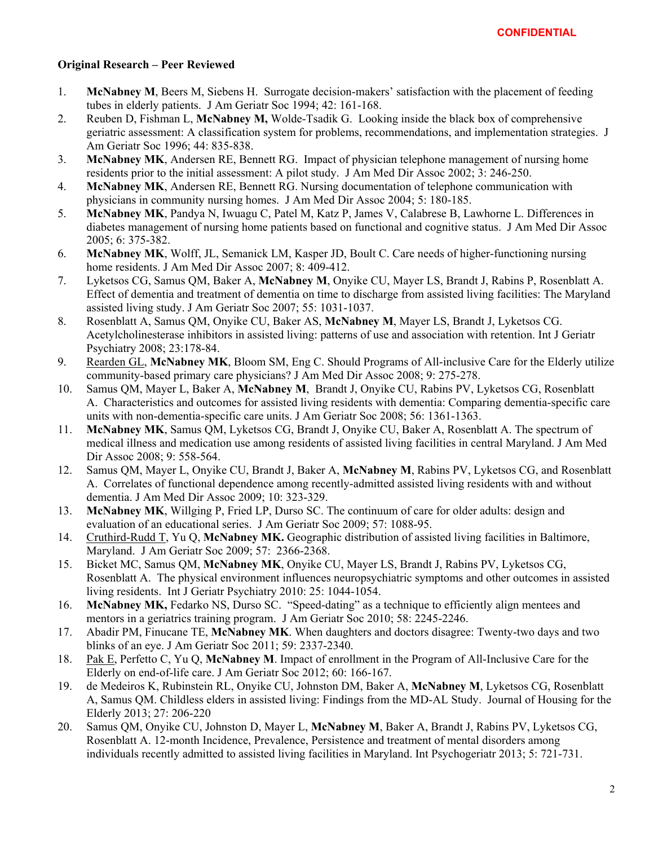## **Original Research – Peer Reviewed**

- 1. **McNabney M**, Beers M, Siebens H. Surrogate decision-makers' satisfaction with the placement of feeding tubes in elderly patients. J Am Geriatr Soc 1994; 42: 161-168.
- 2. Reuben D, Fishman L, **McNabney M,** Wolde-Tsadik G. Looking inside the black box of comprehensive geriatric assessment: A classification system for problems, recommendations, and implementation strategies. J Am Geriatr Soc 1996; 44: 835-838.
- 3. **McNabney MK**, Andersen RE, Bennett RG. Impact of physician telephone management of nursing home residents prior to the initial assessment: A pilot study. J Am Med Dir Assoc 2002; 3: 246-250.
- 4. **McNabney MK**, Andersen RE, Bennett RG. Nursing documentation of telephone communication with physicians in community nursing homes. J Am Med Dir Assoc 2004; 5: 180-185.
- 5. **McNabney MK**, Pandya N, Iwuagu C, Patel M, Katz P, James V, Calabrese B, Lawhorne L. Differences in diabetes management of nursing home patients based on functional and cognitive status. J Am Med Dir Assoc 2005; 6: 375-382.
- 6. **McNabney MK**, Wolff, JL, Semanick LM, Kasper JD, Boult C. Care needs of higher-functioning nursing home residents. J Am Med Dir Assoc 2007; 8: 409-412.
- 7. Lyketsos CG, Samus QM, Baker A, **McNabney M**, Onyike CU, Mayer LS, Brandt J, Rabins P, Rosenblatt A. Effect of dementia and treatment of dementia on time to discharge from assisted living facilities: The Maryland assisted living study. J Am Geriatr Soc 2007; 55: 1031-1037.
- 8. Rosenblatt A, Samus QM, Onyike CU, Baker AS, **McNabney M**, Mayer LS, Brandt J, Lyketsos CG. Acetylcholinesterase inhibitors in assisted living: patterns of use and association with retention. Int J Geriatr Psychiatry 2008; 23:178-84.
- 9. Rearden GL, **McNabney MK**, Bloom SM, Eng C. Should Programs of All-inclusive Care for the Elderly utilize community-based primary care physicians? J Am Med Dir Assoc 2008; 9: 275-278.
- 10. Samus QM, Mayer L, Baker A, **McNabney M**, Brandt J, Onyike CU, Rabins PV, Lyketsos CG, Rosenblatt A. Characteristics and outcomes for assisted living residents with dementia: Comparing dementia-specific care units with non-dementia-specific care units. J Am Geriatr Soc 2008; 56: 1361-1363.
- 11. **McNabney MK**, Samus QM, Lyketsos CG, Brandt J, Onyike CU, Baker A, Rosenblatt A. The spectrum of medical illness and medication use among residents of assisted living facilities in central Maryland. J Am Med Dir Assoc 2008; 9: 558-564.
- 12. Samus QM, Mayer L, Onyike CU, Brandt J, Baker A, **McNabney M**, Rabins PV, Lyketsos CG, and Rosenblatt A. Correlates of functional dependence among recently-admitted assisted living residents with and without dementia. J Am Med Dir Assoc 2009; 10: 323-329.
- 13. **McNabney MK**, Willging P, Fried LP, Durso SC. The continuum of care for older adults: design and evaluation of an educational series. J Am Geriatr Soc 2009; 57: 1088-95.
- 14. Cruthird-Rudd T, Yu Q, **McNabney MK.** Geographic distribution of assisted living facilities in Baltimore, Maryland. J Am Geriatr Soc 2009; 57: 2366-2368.
- 15. Bicket MC, Samus QM, **McNabney MK**, Onyike CU, Mayer LS, Brandt J, Rabins PV, Lyketsos CG, Rosenblatt A. The physical environment influences neuropsychiatric symptoms and other outcomes in assisted living residents. Int J Geriatr Psychiatry 2010: 25: 1044-1054.
- 16. **McNabney MK,** Fedarko NS, Durso SC. "Speed-dating" as a technique to efficiently align mentees and mentors in a geriatrics training program. J Am Geriatr Soc 2010; 58: 2245-2246.
- 17. Abadir PM, Finucane TE, **McNabney MK**. When daughters and doctors disagree: Twenty-two days and two blinks of an eye. J Am Geriatr Soc 2011; 59: 2337-2340.
- 18. Pak E, Perfetto C, Yu Q, **McNabney M**. Impact of enrollment in the Program of All-Inclusive Care for the Elderly on end-of-life care. J Am Geriatr Soc 2012; 60: 166-167.
- 19. de Medeiros K, Rubinstein RL, Onyike CU, Johnston DM, Baker A, **McNabney M**, Lyketsos CG, Rosenblatt A, Samus QM. Childless elders in assisted living: Findings from the MD-AL Study. Journal of Housing for the Elderly 2013; 27: 206-220
- 20. Samus QM, Onyike CU, Johnston D, Mayer L, **McNabney M**, Baker A, Brandt J, Rabins PV, Lyketsos CG, Rosenblatt A. 12-month Incidence, Prevalence, Persistence and treatment of mental disorders among individuals recently admitted to assisted living facilities in Maryland. Int Psychogeriatr 2013; 5: 721-731.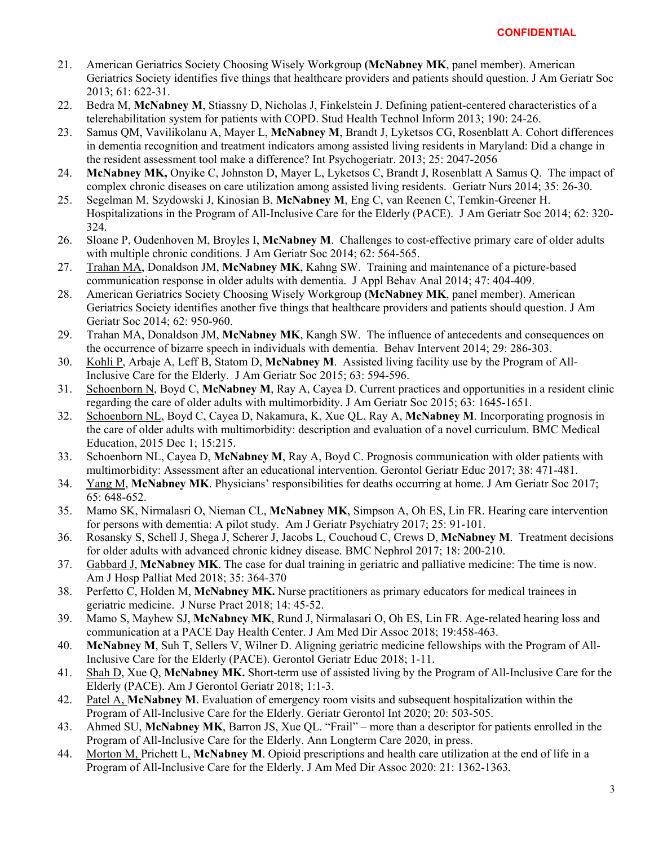- 21. American Geriatrics Society Choosing Wisely Workgroup **(McNabney MK**, panel member). American Geriatrics Society identifies five things that healthcare providers and patients should question. J Am Geriatr Soc 2013; 61: 622-31.
- 22. Bedra M, **McNabney M**, Stiassny D, Nicholas J, Finkelstein J. Defining patient-centered characteristics of a telerehabilitation system for patients with COPD. Stud Health Technol Inform 2013; 190: 24-26.
- 23. Samus QM, Vavilikolanu A, Mayer L, **McNabney M**, Brandt J, Lyketsos CG, Rosenblatt A. Cohort differences in dementia recognition and treatment indicators among assisted living residents in Maryland: Did a change in the resident assessment tool make a difference? Int Psychogeriatr. 2013; 25: 2047-2056
- 24. **McNabney MK,** Onyike C, Johnston D, Mayer L, Lyketsos C, Brandt J, Rosenblatt A Samus Q. The impact of complex chronic diseases on care utilization among assisted living residents. Geriatr Nurs 2014; 35: 26-30.
- 25. Segelman M, Szydowski J, Kinosian B, **McNabney M**, Eng C, van Reenen C, Temkin-Greener H. Hospitalizations in the Program of All-Inclusive Care for the Elderly (PACE). J Am Geriatr Soc 2014; 62: 320- 324.
- 26. Sloane P, Oudenhoven M, Broyles I, **McNabney M**. Challenges to cost-effective primary care of older adults with multiple chronic conditions. J Am Geriatr Soc 2014; 62: 564-565.
- 27. Trahan MA, Donaldson JM, **McNabney MK**, Kahng SW. Training and maintenance of a picture-based communication response in older adults with dementia. J Appl Behav Anal 2014; 47: 404-409.
- 28. American Geriatrics Society Choosing Wisely Workgroup **(McNabney MK**, panel member). American Geriatrics Society identifies another five things that healthcare providers and patients should question. J Am Geriatr Soc 2014; 62: 950-960.
- 29. Trahan MA, Donaldson JM, **McNabney MK**, Kangh SW. The influence of antecedents and consequences on the occurrence of bizarre speech in individuals with dementia. Behav Intervent 2014; 29: 286-303.
- 30. Kohli P, Arbaje A, Leff B, Statom D, **McNabney M**. Assisted living facility use by the Program of All-Inclusive Care for the Elderly. J Am Geriatr Soc 2015; 63: 594-596.
- 31. Schoenborn N, Boyd C, **McNabney M**, Ray A, Cayea D. Current practices and opportunities in a resident clinic regarding the care of older adults with multimorbidity. J Am Geriatr Soc 2015; 63: 1645-1651.
- 32. Schoenborn NL, Boyd C, Cayea D, Nakamura, K, Xue QL, Ray A, **McNabney M**. Incorporating prognosis in the care of older adults with multimorbidity: description and evaluation of a novel curriculum. BMC Medical Education, 2015 Dec 1; 15:215.
- 33. Schoenborn NL, Cayea D, **McNabney M**, Ray A, Boyd C. Prognosis communication with older patients with multimorbidity: Assessment after an educational intervention. Gerontol Geriatr Educ 2017; 38: 471-481.
- 34. Yang M, **McNabney MK**. Physicians' responsibilities for deaths occurring at home. J Am Geriatr Soc 2017; 65: 648-652.
- 35. Mamo SK, Nirmalasri O, Nieman CL, **McNabney MK**, Simpson A, Oh ES, Lin FR. Hearing care intervention for persons with dementia: A pilot study. Am J Geriatr Psychiatry 2017; 25: 91-101.
- 36. Rosansky S, Schell J, Shega J, Scherer J, Jacobs L, Couchoud C, Crews D, **McNabney M**. Treatment decisions for older adults with advanced chronic kidney disease. BMC Nephrol 2017; 18: 200-210.
- 37. Gabbard J, **McNabney MK**. The case for dual training in geriatric and palliative medicine: The time is now. Am J Hosp Palliat Med 2018; 35: 364-370
- 38. Perfetto C, Holden M, **McNabney MK.** Nurse practitioners as primary educators for medical trainees in geriatric medicine. J Nurse Pract 2018; 14: 45-52.
- 39. Mamo S, Mayhew SJ, **McNabney MK**, Rund J, Nirmalasari O, Oh ES, Lin FR. Age-related hearing loss and communication at a PACE Day Health Center. J Am Med Dir Assoc 2018; 19:458-463.
- 40. **McNabney M**, Suh T, Sellers V, Wilner D. Aligning geriatric medicine fellowships with the Program of All-Inclusive Care for the Elderly (PACE). Gerontol Geriatr Educ 2018; 1-11.
- 41. Shah D, Xue Q, **McNabney MK.** Short-term use of assisted living by the Program of All-Inclusive Care for the Elderly (PACE). Am J Gerontol Geriatr 2018; 1:1-3.
- 42. Patel A, **McNabney M**. Evaluation of emergency room visits and subsequent hospitalization within the Program of All-Inclusive Care for the Elderly. Geriatr Gerontol Int 2020; 20: 503-505.
- 43. Ahmed SU, **McNabney MK**, Barron JS, Xue QL. "Frail" more than a descriptor for patients enrolled in the Program of All-Inclusive Care for the Elderly. Ann Longterm Care 2020, in press.
- 44. Morton M, Prichett L, **McNabney M**. Opioid prescriptions and health care utilization at the end of life in a Program of All-Inclusive Care for the Elderly. J Am Med Dir Assoc 2020: 21: 1362-1363*.*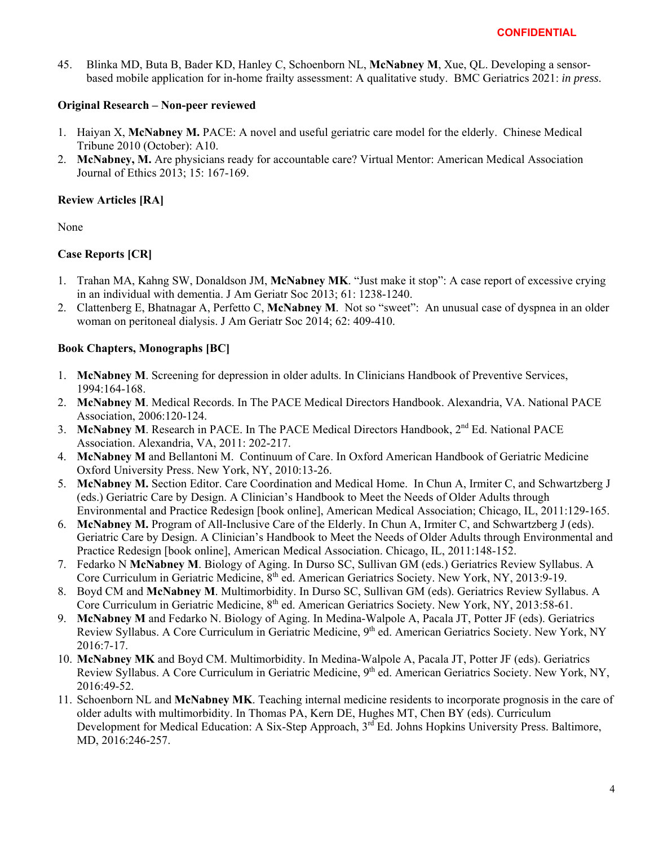45. Blinka MD, Buta B, Bader KD, Hanley C, Schoenborn NL, **McNabney M**, Xue, QL. Developing a sensorbased mobile application for in-home frailty assessment: A qualitative study. BMC Geriatrics 2021: *in press*.

## **Original Research – Non-peer reviewed**

- 1. Haiyan X, **McNabney M.** PACE: A novel and useful geriatric care model for the elderly. Chinese Medical Tribune 2010 (October): A10.
- 2. **McNabney, M.** Are physicians ready for accountable care? Virtual Mentor: American Medical Association Journal of Ethics 2013; 15: 167-169.

## **Review Articles [RA]**

None

## **Case Reports [CR]**

- 1. Trahan MA, Kahng SW, Donaldson JM, **McNabney MK**. "Just make it stop": A case report of excessive crying in an individual with dementia. J Am Geriatr Soc 2013; 61: 1238-1240.
- 2. Clattenberg E, Bhatnagar A, Perfetto C, **McNabney M**. Not so "sweet": An unusual case of dyspnea in an older woman on peritoneal dialysis. J Am Geriatr Soc 2014; 62: 409-410.

## **Book Chapters, Monographs [BC]**

- 1. **McNabney M**. Screening for depression in older adults. In Clinicians Handbook of Preventive Services, 1994:164-168.
- 2. **McNabney M**. Medical Records. In The PACE Medical Directors Handbook. Alexandria, VA. National PACE Association, 2006:120-124.
- 3. McNabney M. Research in PACE. In The PACE Medical Directors Handbook, 2<sup>nd</sup> Ed. National PACE Association. Alexandria, VA, 2011: 202-217.
- 4. **McNabney M** and Bellantoni M. Continuum of Care. In Oxford American Handbook of Geriatric Medicine Oxford University Press. New York, NY, 2010:13-26.
- 5. **McNabney M.** Section Editor. Care Coordination and Medical Home. In Chun A, Irmiter C, and Schwartzberg J (eds.) Geriatric Care by Design. A Clinician's Handbook to Meet the Needs of Older Adults through Environmental and Practice Redesign [book online], American Medical Association; Chicago, IL, 2011:129-165.
- 6. **McNabney M.** Program of All-Inclusive Care of the Elderly. In Chun A, Irmiter C, and Schwartzberg J (eds). Geriatric Care by Design. A Clinician's Handbook to Meet the Needs of Older Adults through Environmental and Practice Redesign [book online], American Medical Association. Chicago, IL, 2011:148-152.
- 7. Fedarko N **McNabney M**. Biology of Aging. In Durso SC, Sullivan GM (eds.) Geriatrics Review Syllabus. A Core Curriculum in Geriatric Medicine, 8<sup>th</sup> ed. American Geriatrics Society. New York, NY, 2013:9-19.
- 8. Boyd CM and **McNabney M**. Multimorbidity. In Durso SC, Sullivan GM (eds). Geriatrics Review Syllabus. A Core Curriculum in Geriatric Medicine, 8<sup>th</sup> ed. American Geriatrics Society. New York, NY, 2013:58-61.
- 9. **McNabney M** and Fedarko N. Biology of Aging. In Medina-Walpole A, Pacala JT, Potter JF (eds). Geriatrics Review Syllabus. A Core Curriculum in Geriatric Medicine, 9<sup>th</sup> ed. American Geriatrics Society. New York, NY 2016:7-17.
- 10. **McNabney MK** and Boyd CM. Multimorbidity. In Medina-Walpole A, Pacala JT, Potter JF (eds). Geriatrics Review Syllabus. A Core Curriculum in Geriatric Medicine, 9<sup>th</sup> ed. American Geriatrics Society. New York, NY, 2016:49-52.
- 11. Schoenborn NL and **McNabney MK**. Teaching internal medicine residents to incorporate prognosis in the care of older adults with multimorbidity. In Thomas PA, Kern DE, Hughes MT, Chen BY (eds). Curriculum Development for Medical Education: A Six-Step Approach, 3<sup>rd</sup> Ed. Johns Hopkins University Press. Baltimore, MD, 2016:246-257.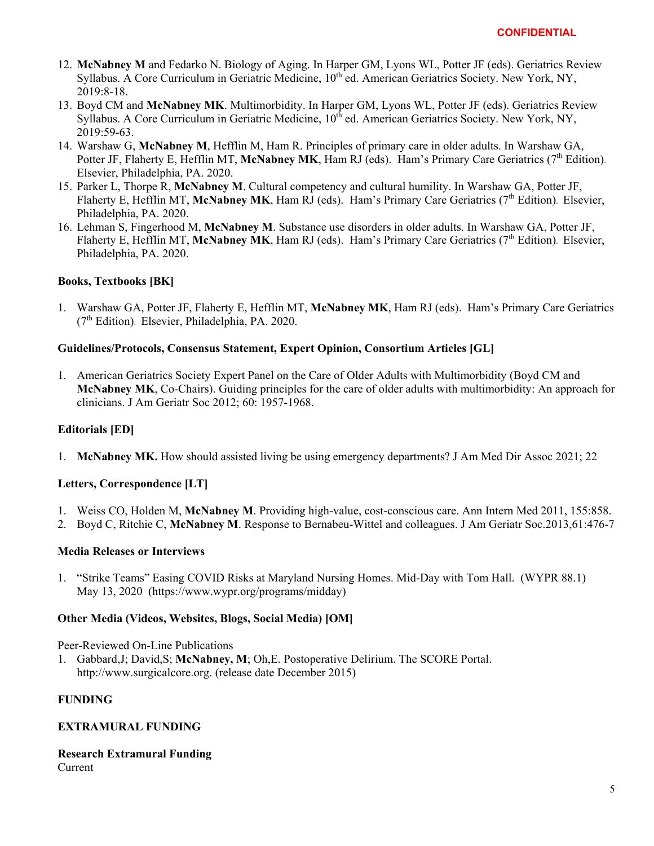- 12. **McNabney M** and Fedarko N. Biology of Aging. In Harper GM, Lyons WL, Potter JF (eds). Geriatrics Review Syllabus. A Core Curriculum in Geriatric Medicine, 10<sup>th</sup> ed. American Geriatrics Society. New York, NY, 2019:8-18.
- 13. Boyd CM and **McNabney MK**. Multimorbidity. In Harper GM, Lyons WL, Potter JF (eds). Geriatrics Review Syllabus. A Core Curriculum in Geriatric Medicine, 10<sup>th</sup> ed. American Geriatrics Society. New York, NY, 2019:59-63.
- 14. Warshaw G, **McNabney M**, Hefflin M, Ham R. Principles of primary care in older adults. In Warshaw GA, Potter JF, Flaherty E, Hefflin MT, McNabney MK, Ham RJ (eds). Ham's Primary Care Geriatrics (7<sup>th</sup> Edition). Elsevier, Philadelphia, PA. 2020.
- 15. Parker L, Thorpe R, **McNabney M**. Cultural competency and cultural humility. In Warshaw GA, Potter JF, Flaherty E, Hefflin MT, McNabney MK, Ham RJ (eds). Ham's Primary Care Geriatrics (7<sup>th</sup> Edition). Elsevier, Philadelphia, PA. 2020.
- 16. Lehman S, Fingerhood M, **McNabney M**. Substance use disorders in older adults. In Warshaw GA, Potter JF, Flaherty E, Hefflin MT, McNabney MK, Ham RJ (eds). Ham's Primary Care Geriatrics (7<sup>th</sup> Edition). Elsevier, Philadelphia, PA. 2020.

## **Books, Textbooks [BK]**

1. Warshaw GA, Potter JF, Flaherty E, Hefflin MT, **McNabney MK**, Ham RJ (eds). Ham's Primary Care Geriatrics  $(7<sup>th</sup> Edition)$ . Elsevier, Philadelphia, PA. 2020.

## **Guidelines/Protocols, Consensus Statement, Expert Opinion, Consortium Articles [GL]**

1. American Geriatrics Society Expert Panel on the Care of Older Adults with Multimorbidity (Boyd CM and **McNabney MK**, Co-Chairs). Guiding principles for the care of older adults with multimorbidity: An approach for clinicians. J Am Geriatr Soc 2012; 60: 1957-1968.

## **Editorials [ED]**

1. **McNabney MK.** How should assisted living be using emergency departments? J Am Med Dir Assoc 2021; 22

## **Letters, Correspondence [LT]**

- 1. Weiss CO, Holden M, **McNabney M**. Providing high-value, cost-conscious care. Ann Intern Med 2011, 155:858.
- 2. Boyd C, Ritchie C, **McNabney M**. Response to Bernabeu-Wittel and colleagues. J Am Geriatr Soc.2013,61:476-7

## **Media Releases or Interviews**

1. "Strike Teams" Easing COVID Risks at Maryland Nursing Homes. Mid-Day with Tom Hall. (WYPR 88.1) May 13, 2020 (https://www.wypr.org/programs/midday)

## **Other Media (Videos, Websites, Blogs, Social Media) [OM]**

Peer-Reviewed On-Line Publications

1. Gabbard,J; David,S; **McNabney, M**; Oh,E. Postoperative Delirium. The SCORE Portal. http://www.surgicalcore.org. (release date December 2015)

## **FUNDING**

## **EXTRAMURAL FUNDING**

## **Research Extramural Funding**

Current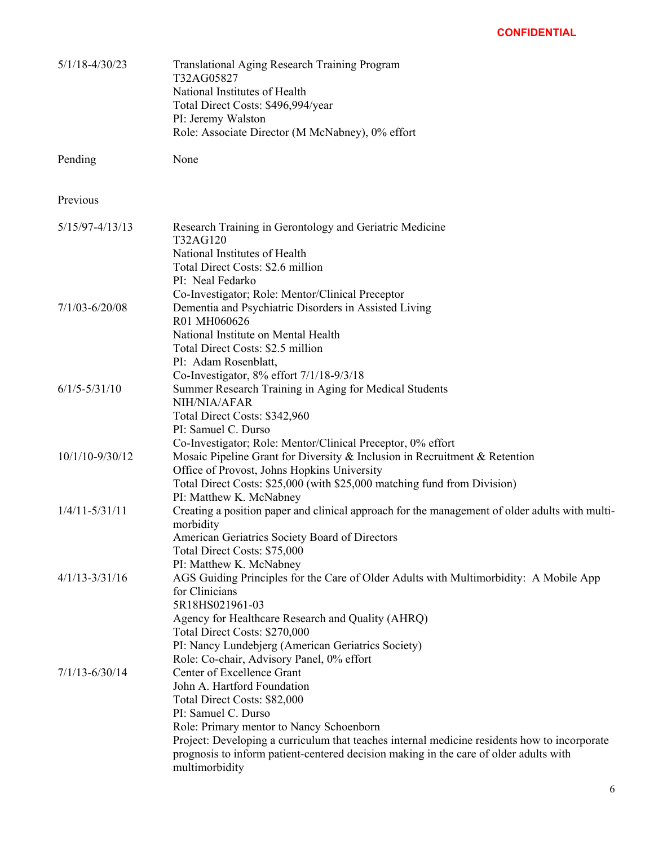| $5/1/18 - 4/30/23$  | <b>Translational Aging Research Training Program</b><br>T32AG05827<br>National Institutes of Health<br>Total Direct Costs: \$496,994/year<br>PI: Jeremy Walston<br>Role: Associate Director (M McNabney), 0% effort                                                                                                                                                     |
|---------------------|-------------------------------------------------------------------------------------------------------------------------------------------------------------------------------------------------------------------------------------------------------------------------------------------------------------------------------------------------------------------------|
| Pending             | None                                                                                                                                                                                                                                                                                                                                                                    |
| Previous            |                                                                                                                                                                                                                                                                                                                                                                         |
| $5/15/97 - 4/13/13$ | Research Training in Gerontology and Geriatric Medicine<br>T32AG120<br>National Institutes of Health<br>Total Direct Costs: \$2.6 million<br>PI: Neal Fedarko                                                                                                                                                                                                           |
| $7/1/03 - 6/20/08$  | Co-Investigator; Role: Mentor/Clinical Preceptor<br>Dementia and Psychiatric Disorders in Assisted Living<br>R01 MH060626<br>National Institute on Mental Health<br>Total Direct Costs: \$2.5 million<br>PI: Adam Rosenblatt,                                                                                                                                           |
| $6/1/5 - 5/31/10$   | Co-Investigator, 8% effort 7/1/18-9/3/18<br>Summer Research Training in Aging for Medical Students<br>NIH/NIA/AFAR<br>Total Direct Costs: \$342,960<br>PI: Samuel C. Durso                                                                                                                                                                                              |
| 10/1/10-9/30/12     | Co-Investigator; Role: Mentor/Clinical Preceptor, 0% effort<br>Mosaic Pipeline Grant for Diversity & Inclusion in Recruitment & Retention<br>Office of Provost, Johns Hopkins University<br>Total Direct Costs: \$25,000 (with \$25,000 matching fund from Division)                                                                                                    |
| $1/4/11 - 5/31/11$  | PI: Matthew K. McNabney<br>Creating a position paper and clinical approach for the management of older adults with multi-<br>morbidity<br>American Geriatrics Society Board of Directors<br>Total Direct Costs: \$75,000                                                                                                                                                |
| $4/1/13 - 3/31/16$  | PI: Matthew K. McNabney<br>AGS Guiding Principles for the Care of Older Adults with Multimorbidity: A Mobile App<br>for Clinicians<br>5R18HS021961-03<br>Agency for Healthcare Research and Quality (AHRQ)<br>Total Direct Costs: \$270,000<br>PI: Nancy Lundebjerg (American Geriatrics Society)<br>Role: Co-chair, Advisory Panel, 0% effort                          |
| $7/1/13 - 6/30/14$  | Center of Excellence Grant<br>John A. Hartford Foundation<br>Total Direct Costs: \$82,000<br>PI: Samuel C. Durso<br>Role: Primary mentor to Nancy Schoenborn<br>Project: Developing a curriculum that teaches internal medicine residents how to incorporate<br>prognosis to inform patient-centered decision making in the care of older adults with<br>multimorbidity |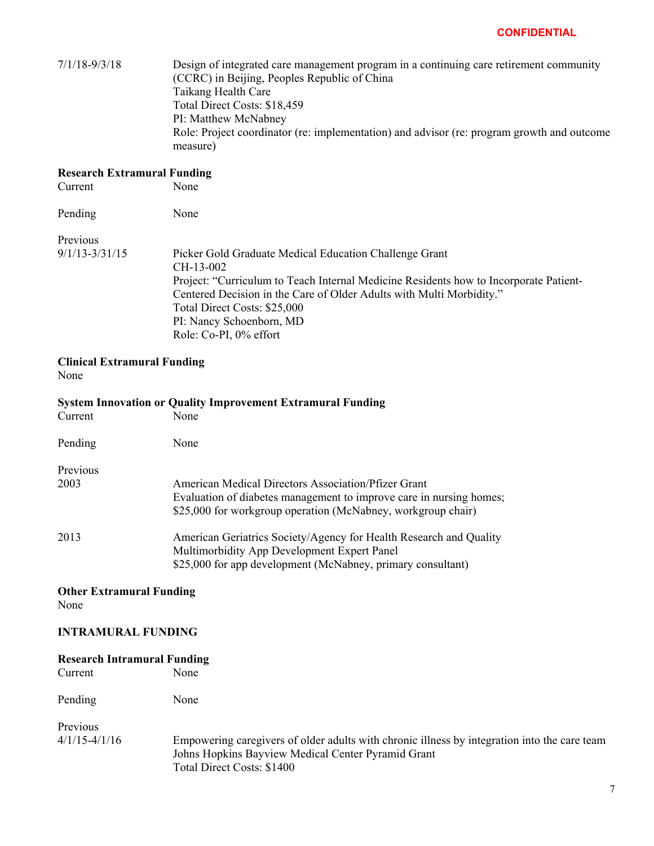| $7/1/18 - 9/3/18$                          | Design of integrated care management program in a continuing care retirement community<br>(CCRC) in Beijing, Peoples Republic of China<br>Taikang Health Care<br>Total Direct Costs: \$18,459<br>PI: Matthew McNabney<br>Role: Project coordinator (re: implementation) and advisor (re: program growth and outcome<br>measure) |
|--------------------------------------------|---------------------------------------------------------------------------------------------------------------------------------------------------------------------------------------------------------------------------------------------------------------------------------------------------------------------------------|
| <b>Research Extramural Funding</b>         |                                                                                                                                                                                                                                                                                                                                 |
| Current                                    | None                                                                                                                                                                                                                                                                                                                            |
| Pending                                    | None                                                                                                                                                                                                                                                                                                                            |
| Previous                                   |                                                                                                                                                                                                                                                                                                                                 |
| $9/1/13 - 3/31/15$                         | Picker Gold Graduate Medical Education Challenge Grant<br>CH-13-002                                                                                                                                                                                                                                                             |
|                                            | Project: "Curriculum to Teach Internal Medicine Residents how to Incorporate Patient-<br>Centered Decision in the Care of Older Adults with Multi Morbidity."<br>Total Direct Costs: \$25,000                                                                                                                                   |
|                                            | PI: Nancy Schoenborn, MD                                                                                                                                                                                                                                                                                                        |
|                                            | Role: Co-PI, 0% effort                                                                                                                                                                                                                                                                                                          |
| <b>Clinical Extramural Funding</b><br>None |                                                                                                                                                                                                                                                                                                                                 |
|                                            | <b>System Innovation or Quality Improvement Extramural Funding</b>                                                                                                                                                                                                                                                              |
| Current                                    | None                                                                                                                                                                                                                                                                                                                            |
| Pending                                    | None                                                                                                                                                                                                                                                                                                                            |
| Previous                                   |                                                                                                                                                                                                                                                                                                                                 |
| 2003                                       | American Medical Directors Association/Pfizer Grant                                                                                                                                                                                                                                                                             |
|                                            | Evaluation of diabetes management to improve care in nursing homes;<br>\$25,000 for workgroup operation (McNabney, workgroup chair)                                                                                                                                                                                             |
| 2013                                       | American Geriatrics Society/Agency for Health Research and Quality                                                                                                                                                                                                                                                              |
|                                            | Multimorbidity App Development Expert Panel<br>\$25,000 for app development (McNabney, primary consultant)                                                                                                                                                                                                                      |
| <b>Other Extramural Funding</b><br>None    |                                                                                                                                                                                                                                                                                                                                 |
| <b>INTRAMURAL FUNDING</b>                  |                                                                                                                                                                                                                                                                                                                                 |
| <b>Research Intramural Funding</b>         |                                                                                                                                                                                                                                                                                                                                 |
| Current                                    | None                                                                                                                                                                                                                                                                                                                            |
| Pending                                    | None                                                                                                                                                                                                                                                                                                                            |

Previous

4/1/15-4/1/16 Empowering caregivers of older adults with chronic illness by integration into the care team Johns Hopkins Bayview Medical Center Pyramid Grant Total Direct Costs: \$1400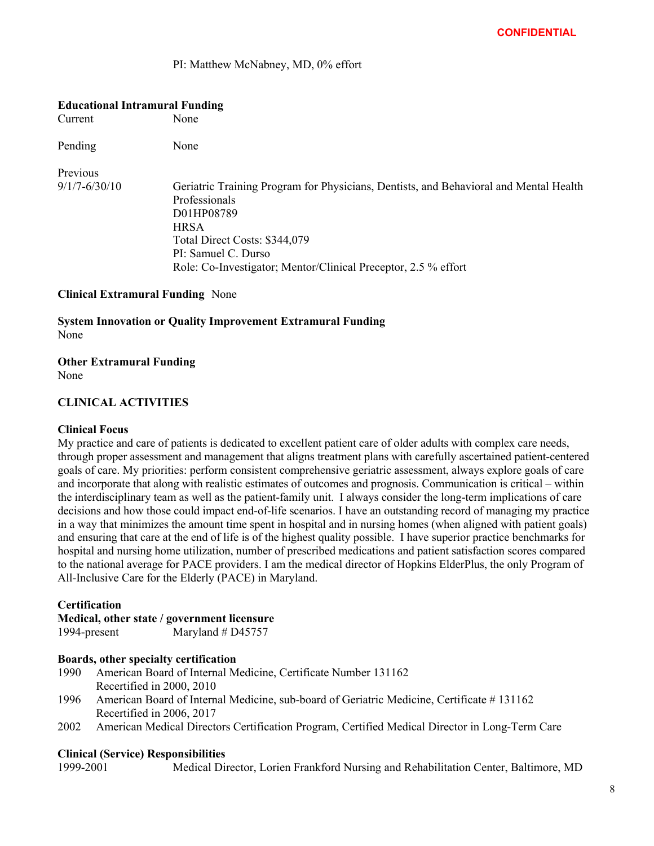PI: Matthew McNabney, MD, 0% effort

#### **Educational Intramural Funding**

Current None

Pending None

## Previous

9/1/7-6/30/10 Geriatric Training Program for Physicians, Dentists, and Behavioral and Mental Health Professionals D01HP08789 **HRSA** Total Direct Costs: \$344,079 PI: Samuel C. Durso Role: Co-Investigator; Mentor/Clinical Preceptor, 2.5 % effort

## **Clinical Extramural Funding** None

**System Innovation or Quality Improvement Extramural Funding** None

**Other Extramural Funding** 

None

## **CLINICAL ACTIVITIES**

#### **Clinical Focus**

My practice and care of patients is dedicated to excellent patient care of older adults with complex care needs, through proper assessment and management that aligns treatment plans with carefully ascertained patient-centered goals of care. My priorities: perform consistent comprehensive geriatric assessment, always explore goals of care and incorporate that along with realistic estimates of outcomes and prognosis. Communication is critical – within the interdisciplinary team as well as the patient-family unit. I always consider the long-term implications of care decisions and how those could impact end-of-life scenarios. I have an outstanding record of managing my practice in a way that minimizes the amount time spent in hospital and in nursing homes (when aligned with patient goals) and ensuring that care at the end of life is of the highest quality possible. I have superior practice benchmarks for hospital and nursing home utilization, number of prescribed medications and patient satisfaction scores compared to the national average for PACE providers. I am the medical director of Hopkins ElderPlus, the only Program of All-Inclusive Care for the Elderly (PACE) in Maryland.

## **Certification**

# **Medical, other state / government licensure**

1994-present Maryland # D45757

#### **Boards, other specialty certification**

- 1990 American Board of Internal Medicine, Certificate Number 131162 Recertified in 2000, 2010
- 1996 American Board of Internal Medicine, sub-board of Geriatric Medicine, Certificate # 131162 Recertified in 2006, 2017
- 2002 American Medical Directors Certification Program, Certified Medical Director in Long-Term Care

#### **Clinical (Service) Responsibilities**

1999-2001 Medical Director, Lorien Frankford Nursing and Rehabilitation Center, Baltimore, MD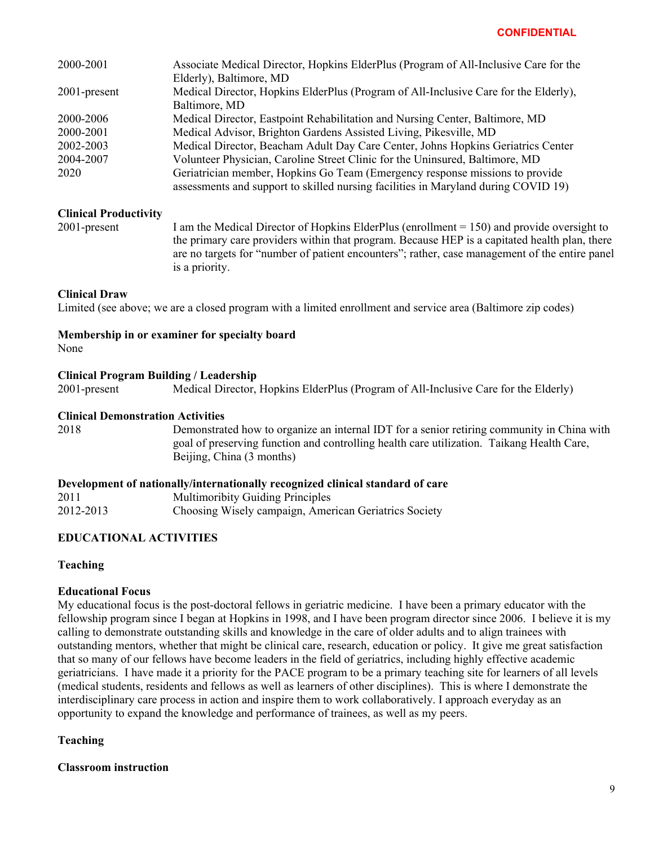| 2000-2001       | Associate Medical Director, Hopkins ElderPlus (Program of All-Inclusive Care for the                                                                               |
|-----------------|--------------------------------------------------------------------------------------------------------------------------------------------------------------------|
|                 | Elderly), Baltimore, MD                                                                                                                                            |
| $2001$ -present | Medical Director, Hopkins ElderPlus (Program of All-Inclusive Care for the Elderly),                                                                               |
|                 | Baltimore, MD                                                                                                                                                      |
| 2000-2006       | Medical Director, Eastpoint Rehabilitation and Nursing Center, Baltimore, MD                                                                                       |
| 2000-2001       | Medical Advisor, Brighton Gardens Assisted Living, Pikesville, MD                                                                                                  |
| 2002-2003       | Medical Director, Beacham Adult Day Care Center, Johns Hopkins Geriatrics Center                                                                                   |
| 2004-2007       | Volunteer Physician, Caroline Street Clinic for the Uninsured, Baltimore, MD                                                                                       |
| 2020            | Geriatrician member, Hopkins Go Team (Emergency response missions to provide<br>assessments and support to skilled nursing facilities in Maryland during COVID 19) |

## **Clinical Productivity**

2001-present I am the Medical Director of Hopkins ElderPlus (enrollment = 150) and provide oversight to the primary care providers within that program. Because HEP is a capitated health plan, there are no targets for "number of patient encounters"; rather, case management of the entire panel is a priority.

## **Clinical Draw**

Limited (see above; we are a closed program with a limited enrollment and service area (Baltimore zip codes)

#### **Membership in or examiner for specialty board**  None

## **Clinical Program Building / Leadership**

2001-present Medical Director, Hopkins ElderPlus (Program of All-Inclusive Care for the Elderly)

## **Clinical Demonstration Activities**

2018 Demonstrated how to organize an internal IDT for a senior retiring community in China with goal of preserving function and controlling health care utilization. Taikang Health Care, Beijing, China (3 months)

## **Development of nationally/internationally recognized clinical standard of care**

2011 Multimoribity Guiding Principles 2012-2013 Choosing Wisely campaign, American Geriatrics Society

## **EDUCATIONAL ACTIVITIES**

## **Teaching**

## **Educational Focus**

My educational focus is the post-doctoral fellows in geriatric medicine. I have been a primary educator with the fellowship program since I began at Hopkins in 1998, and I have been program director since 2006. I believe it is my calling to demonstrate outstanding skills and knowledge in the care of older adults and to align trainees with outstanding mentors, whether that might be clinical care, research, education or policy. It give me great satisfaction that so many of our fellows have become leaders in the field of geriatrics, including highly effective academic geriatricians. I have made it a priority for the PACE program to be a primary teaching site for learners of all levels (medical students, residents and fellows as well as learners of other disciplines). This is where I demonstrate the interdisciplinary care process in action and inspire them to work collaboratively. I approach everyday as an opportunity to expand the knowledge and performance of trainees, as well as my peers.

## **Teaching**

**Classroom instruction**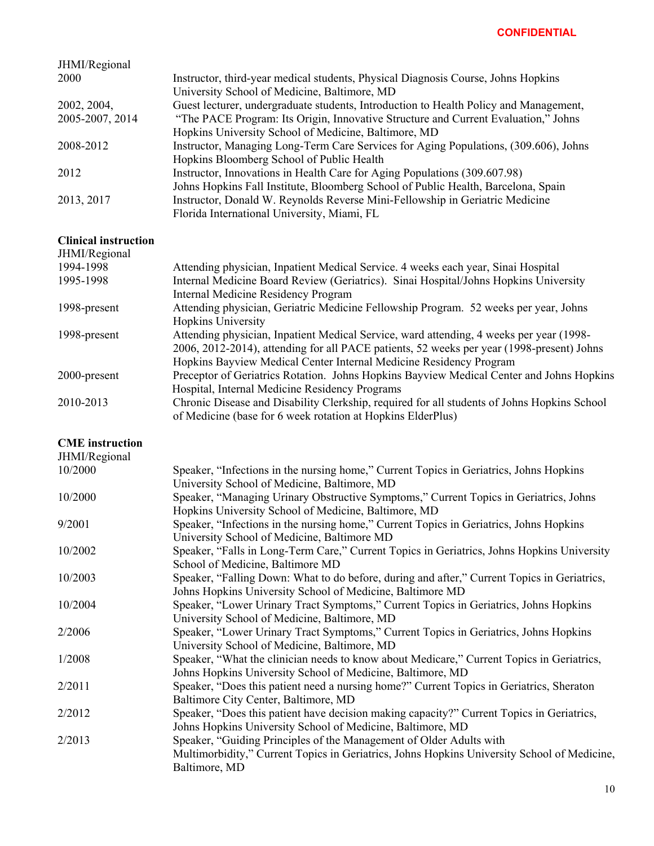| JHMI/Regional   |                                                                                       |
|-----------------|---------------------------------------------------------------------------------------|
| 2000            | Instructor, third-year medical students, Physical Diagnosis Course, Johns Hopkins     |
|                 | University School of Medicine, Baltimore, MD                                          |
| 2002, 2004,     | Guest lecturer, undergraduate students, Introduction to Health Policy and Management, |
| 2005-2007, 2014 | "The PACE Program: Its Origin, Innovative Structure and Current Evaluation," Johns    |
|                 | Hopkins University School of Medicine, Baltimore, MD                                  |
| 2008-2012       | Instructor, Managing Long-Term Care Services for Aging Populations, (309.606), Johns  |
|                 | Hopkins Bloomberg School of Public Health                                             |
| 2012            | Instructor, Innovations in Health Care for Aging Populations (309.607.98)             |
|                 | Johns Hopkins Fall Institute, Bloomberg School of Public Health, Barcelona, Spain     |
| 2013, 2017      | Instructor, Donald W. Reynolds Reverse Mini-Fellowship in Geriatric Medicine          |
|                 | Florida International University, Miami, FL                                           |

## **Clinical instruction**

| JHMI/Regional |                                                                                             |
|---------------|---------------------------------------------------------------------------------------------|
| 1994-1998     | Attending physician, Inpatient Medical Service. 4 weeks each year, Sinai Hospital           |
| 1995-1998     | Internal Medicine Board Review (Geriatrics). Sinai Hospital/Johns Hopkins University        |
|               | <b>Internal Medicine Residency Program</b>                                                  |
| 1998-present  | Attending physician, Geriatric Medicine Fellowship Program. 52 weeks per year, Johns        |
|               | <b>Hopkins University</b>                                                                   |
| 1998-present  | Attending physician, Inpatient Medical Service, ward attending, 4 weeks per year (1998-     |
|               | 2006, 2012-2014), attending for all PACE patients, 52 weeks per year (1998-present) Johns   |
|               | Hopkins Bayview Medical Center Internal Medicine Residency Program                          |
| 2000-present  | Preceptor of Geriatrics Rotation. Johns Hopkins Bayview Medical Center and Johns Hopkins    |
|               | Hospital, Internal Medicine Residency Programs                                              |
| 2010-2013     | Chronic Disease and Disability Clerkship, required for all students of Johns Hopkins School |
|               | of Medicine (base for 6 week rotation at Hopkins ElderPlus)                                 |

#### **CME instruction**

| JHMI/Regional |                                                                                             |
|---------------|---------------------------------------------------------------------------------------------|
| 10/2000       | Speaker, "Infections in the nursing home," Current Topics in Geriatrics, Johns Hopkins      |
|               | University School of Medicine, Baltimore, MD                                                |
| 10/2000       | Speaker, "Managing Urinary Obstructive Symptoms," Current Topics in Geriatrics, Johns       |
|               | Hopkins University School of Medicine, Baltimore, MD                                        |
| 9/2001        | Speaker, "Infections in the nursing home," Current Topics in Geriatrics, Johns Hopkins      |
|               | University School of Medicine, Baltimore MD                                                 |
| 10/2002       | Speaker, "Falls in Long-Term Care," Current Topics in Geriatrics, Johns Hopkins University  |
|               | School of Medicine, Baltimore MD                                                            |
| 10/2003       | Speaker, "Falling Down: What to do before, during and after," Current Topics in Geriatrics, |
|               | Johns Hopkins University School of Medicine, Baltimore MD                                   |
| 10/2004       | Speaker, "Lower Urinary Tract Symptoms," Current Topics in Geriatrics, Johns Hopkins        |
|               | University School of Medicine, Baltimore, MD                                                |
| 2/2006        | Speaker, "Lower Urinary Tract Symptoms," Current Topics in Geriatrics, Johns Hopkins        |
|               | University School of Medicine, Baltimore, MD                                                |
| 1/2008        | Speaker, "What the clinician needs to know about Medicare," Current Topics in Geriatrics,   |
|               | Johns Hopkins University School of Medicine, Baltimore, MD                                  |
| 2/2011        | Speaker, "Does this patient need a nursing home?" Current Topics in Geriatrics, Sheraton    |
|               | Baltimore City Center, Baltimore, MD                                                        |
| 2/2012        | Speaker, "Does this patient have decision making capacity?" Current Topics in Geriatrics,   |
|               | Johns Hopkins University School of Medicine, Baltimore, MD                                  |
| 2/2013        | Speaker, "Guiding Principles of the Management of Older Adults with                         |
|               | Multimorbidity," Current Topics in Geriatrics, Johns Hopkins University School of Medicine, |
|               | Baltimore, MD                                                                               |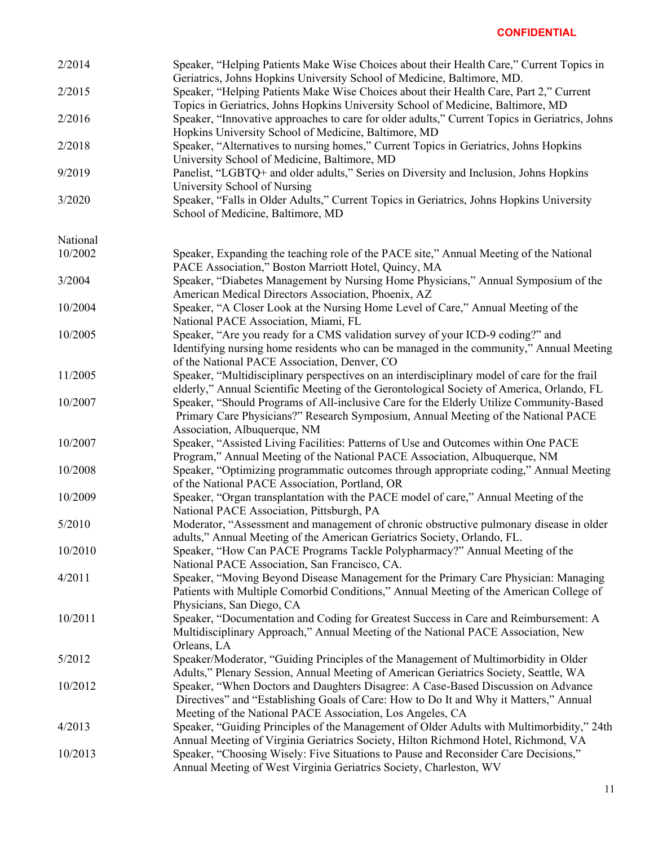| 2/2014   | Speaker, "Helping Patients Make Wise Choices about their Health Care," Current Topics in<br>Geriatrics, Johns Hopkins University School of Medicine, Baltimore, MD.                                                                     |
|----------|-----------------------------------------------------------------------------------------------------------------------------------------------------------------------------------------------------------------------------------------|
| 2/2015   | Speaker, "Helping Patients Make Wise Choices about their Health Care, Part 2," Current<br>Topics in Geriatrics, Johns Hopkins University School of Medicine, Baltimore, MD                                                              |
| 2/2016   | Speaker, "Innovative approaches to care for older adults," Current Topics in Geriatrics, Johns<br>Hopkins University School of Medicine, Baltimore, MD                                                                                  |
| 2/2018   | Speaker, "Alternatives to nursing homes," Current Topics in Geriatrics, Johns Hopkins<br>University School of Medicine, Baltimore, MD                                                                                                   |
| 9/2019   | Panelist, "LGBTQ+ and older adults," Series on Diversity and Inclusion, Johns Hopkins<br>University School of Nursing                                                                                                                   |
| 3/2020   | Speaker, "Falls in Older Adults," Current Topics in Geriatrics, Johns Hopkins University<br>School of Medicine, Baltimore, MD                                                                                                           |
| National |                                                                                                                                                                                                                                         |
| 10/2002  | Speaker, Expanding the teaching role of the PACE site," Annual Meeting of the National<br>PACE Association," Boston Marriott Hotel, Quincy, MA                                                                                          |
| 3/2004   | Speaker, "Diabetes Management by Nursing Home Physicians," Annual Symposium of the<br>American Medical Directors Association, Phoenix, AZ                                                                                               |
| 10/2004  | Speaker, "A Closer Look at the Nursing Home Level of Care," Annual Meeting of the<br>National PACE Association, Miami, FL                                                                                                               |
| 10/2005  | Speaker, "Are you ready for a CMS validation survey of your ICD-9 coding?" and<br>Identifying nursing home residents who can be managed in the community," Annual Meeting<br>of the National PACE Association, Denver, CO               |
| 11/2005  | Speaker, "Multidisciplinary perspectives on an interdisciplinary model of care for the frail<br>elderly," Annual Scientific Meeting of the Gerontological Society of America, Orlando, FL                                               |
| 10/2007  | Speaker, "Should Programs of All-inclusive Care for the Elderly Utilize Community-Based<br>Primary Care Physicians?" Research Symposium, Annual Meeting of the National PACE<br>Association, Albuquerque, NM                            |
| 10/2007  | Speaker, "Assisted Living Facilities: Patterns of Use and Outcomes within One PACE<br>Program," Annual Meeting of the National PACE Association, Albuquerque, NM                                                                        |
| 10/2008  | Speaker, "Optimizing programmatic outcomes through appropriate coding," Annual Meeting<br>of the National PACE Association, Portland, OR                                                                                                |
| 10/2009  | Speaker, "Organ transplantation with the PACE model of care," Annual Meeting of the<br>National PACE Association, Pittsburgh, PA                                                                                                        |
| 5/2010   | Moderator, "Assessment and management of chronic obstructive pulmonary disease in older<br>adults," Annual Meeting of the American Geriatrics Society, Orlando, FL.                                                                     |
| 10/2010  | Speaker, "How Can PACE Programs Tackle Polypharmacy?" Annual Meeting of the<br>National PACE Association, San Francisco, CA.                                                                                                            |
| 4/2011   | Speaker, "Moving Beyond Disease Management for the Primary Care Physician: Managing<br>Patients with Multiple Comorbid Conditions," Annual Meeting of the American College of<br>Physicians, San Diego, CA                              |
| 10/2011  | Speaker, "Documentation and Coding for Greatest Success in Care and Reimbursement: A<br>Multidisciplinary Approach," Annual Meeting of the National PACE Association, New<br>Orleans, LA                                                |
| 5/2012   | Speaker/Moderator, "Guiding Principles of the Management of Multimorbidity in Older<br>Adults," Plenary Session, Annual Meeting of American Geriatrics Society, Seattle, WA                                                             |
| 10/2012  | Speaker, "When Doctors and Daughters Disagree: A Case-Based Discussion on Advance<br>Directives" and "Establishing Goals of Care: How to Do It and Why it Matters," Annual<br>Meeting of the National PACE Association, Los Angeles, CA |
| 4/2013   | Speaker, "Guiding Principles of the Management of Older Adults with Multimorbidity," 24th<br>Annual Meeting of Virginia Geriatrics Society, Hilton Richmond Hotel, Richmond, VA                                                         |
| 10/2013  | Speaker, "Choosing Wisely: Five Situations to Pause and Reconsider Care Decisions,"<br>Annual Meeting of West Virginia Geriatrics Society, Charleston, WV                                                                               |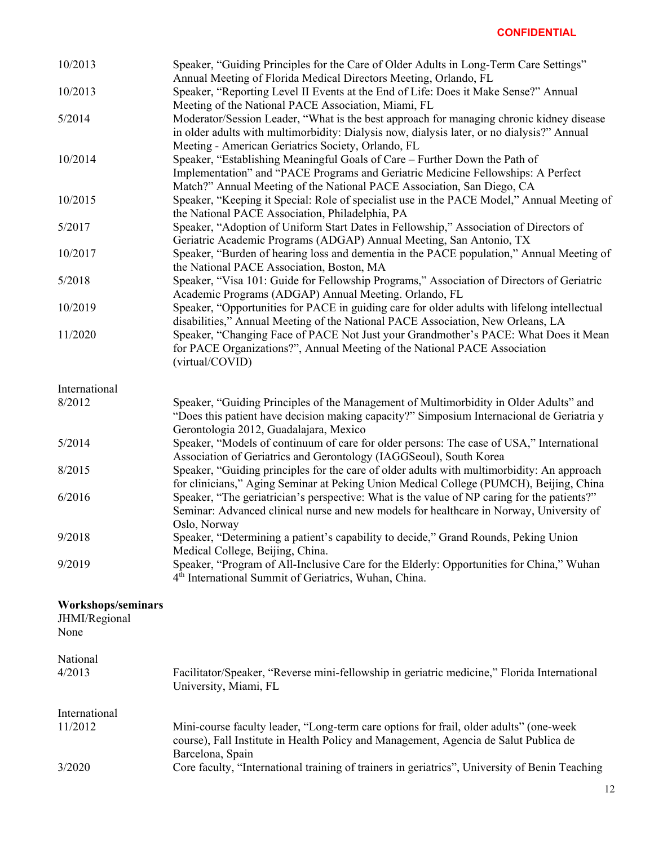| 10/2013                                     | Speaker, "Guiding Principles for the Care of Older Adults in Long-Term Care Settings"<br>Annual Meeting of Florida Medical Directors Meeting, Orlando, FL                                                                                     |
|---------------------------------------------|-----------------------------------------------------------------------------------------------------------------------------------------------------------------------------------------------------------------------------------------------|
| 10/2013                                     | Speaker, "Reporting Level II Events at the End of Life: Does it Make Sense?" Annual                                                                                                                                                           |
| 5/2014                                      | Meeting of the National PACE Association, Miami, FL<br>Moderator/Session Leader, "What is the best approach for managing chronic kidney disease<br>in older adults with multimorbidity: Dialysis now, dialysis later, or no dialysis?" Annual |
| 10/2014                                     | Meeting - American Geriatrics Society, Orlando, FL<br>Speaker, "Establishing Meaningful Goals of Care – Further Down the Path of<br>Implementation" and "PACE Programs and Geriatric Medicine Fellowships: A Perfect                          |
| 10/2015                                     | Match?" Annual Meeting of the National PACE Association, San Diego, CA<br>Speaker, "Keeping it Special: Role of specialist use in the PACE Model," Annual Meeting of<br>the National PACE Association, Philadelphia, PA                       |
| 5/2017                                      | Speaker, "Adoption of Uniform Start Dates in Fellowship," Association of Directors of<br>Geriatric Academic Programs (ADGAP) Annual Meeting, San Antonio, TX                                                                                  |
| 10/2017                                     | Speaker, "Burden of hearing loss and dementia in the PACE population," Annual Meeting of<br>the National PACE Association, Boston, MA                                                                                                         |
| 5/2018                                      | Speaker, "Visa 101: Guide for Fellowship Programs," Association of Directors of Geriatric<br>Academic Programs (ADGAP) Annual Meeting. Orlando, FL                                                                                            |
| 10/2019                                     | Speaker, "Opportunities for PACE in guiding care for older adults with lifelong intellectual<br>disabilities," Annual Meeting of the National PACE Association, New Orleans, LA                                                               |
| 11/2020                                     | Speaker, "Changing Face of PACE Not Just your Grandmother's PACE: What Does it Mean<br>for PACE Organizations?", Annual Meeting of the National PACE Association<br>(virtual/COVID)                                                           |
| International                               |                                                                                                                                                                                                                                               |
| 8/2012                                      | Speaker, "Guiding Principles of the Management of Multimorbidity in Older Adults" and<br>"Does this patient have decision making capacity?" Simposium Internacional de Geriatria y<br>Gerontologia 2012, Guadalajara, Mexico                  |
| 5/2014                                      | Speaker, "Models of continuum of care for older persons: The case of USA," International<br>Association of Geriatrics and Gerontology (IAGGSeoul), South Korea                                                                                |
| 8/2015                                      | Speaker, "Guiding principles for the care of older adults with multimorbidity: An approach<br>for clinicians," Aging Seminar at Peking Union Medical College (PUMCH), Beijing, China                                                          |
| 6/2016                                      | Speaker, "The geriatrician's perspective: What is the value of NP caring for the patients?"<br>Seminar: Advanced clinical nurse and new models for healthcare in Norway, University of                                                        |
| 9/2018                                      | Oslo, Norway<br>Speaker, "Determining a patient's capability to decide," Grand Rounds, Peking Union<br>Medical College, Beijing, China.                                                                                                       |
| 9/2019                                      | Speaker, "Program of All-Inclusive Care for the Elderly: Opportunities for China," Wuhan<br>4 <sup>th</sup> International Summit of Geriatrics, Wuhan, China.                                                                                 |
| Workshops/seminars<br>JHMI/Regional<br>None |                                                                                                                                                                                                                                               |
| National                                    |                                                                                                                                                                                                                                               |
| 4/2013                                      | Facilitator/Speaker, "Reverse mini-fellowship in geriatric medicine," Florida International<br>University, Miami, FL                                                                                                                          |
| International                               |                                                                                                                                                                                                                                               |
| 11/2012                                     | Mini-course faculty leader, "Long-term care options for frail, older adults" (one-week<br>course), Fall Institute in Health Policy and Management, Agencia de Salut Publica de<br>Barcelona, Spain                                            |
| 3/2020                                      | Core faculty, "International training of trainers in geriatrics", University of Benin Teaching                                                                                                                                                |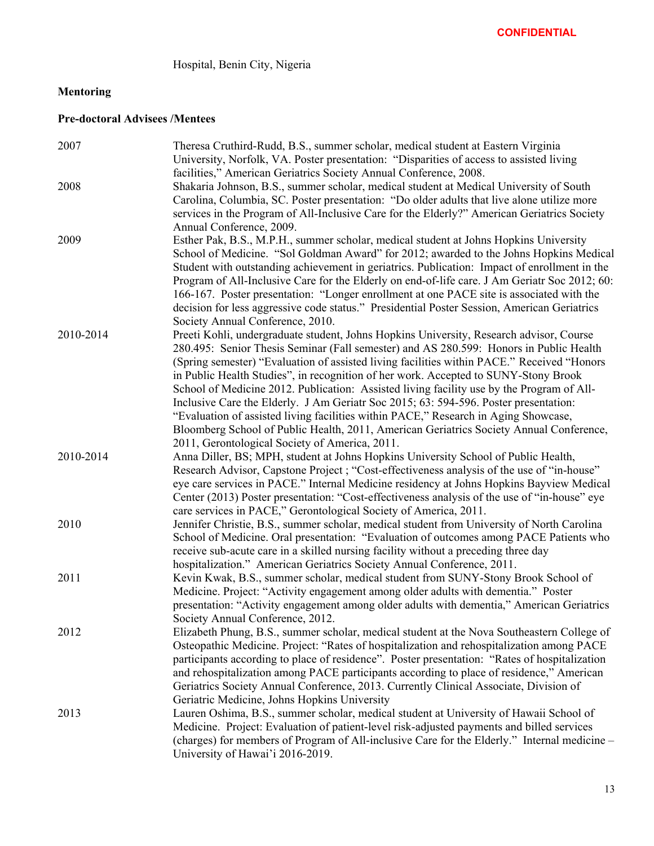# Hospital, Benin City, Nigeria

# **Mentoring**

# **Pre-doctoral Advisees /Mentees**

| 2007      | Theresa Cruthird-Rudd, B.S., summer scholar, medical student at Eastern Virginia              |
|-----------|-----------------------------------------------------------------------------------------------|
|           | University, Norfolk, VA. Poster presentation: "Disparities of access to assisted living       |
|           | facilities," American Geriatrics Society Annual Conference, 2008.                             |
| 2008      | Shakaria Johnson, B.S., summer scholar, medical student at Medical University of South        |
|           | Carolina, Columbia, SC. Poster presentation: "Do older adults that live alone utilize more    |
|           | services in the Program of All-Inclusive Care for the Elderly?" American Geriatrics Society   |
|           | Annual Conference, 2009.                                                                      |
| 2009      | Esther Pak, B.S., M.P.H., summer scholar, medical student at Johns Hopkins University         |
|           | School of Medicine. "Sol Goldman Award" for 2012; awarded to the Johns Hopkins Medical        |
|           | Student with outstanding achievement in geriatrics. Publication: Impact of enrollment in the  |
|           | Program of All-Inclusive Care for the Elderly on end-of-life care. J Am Geriatr Soc 2012; 60: |
|           | 166-167. Poster presentation: "Longer enrollment at one PACE site is associated with the      |
|           | decision for less aggressive code status." Presidential Poster Session, American Geriatrics   |
|           | Society Annual Conference, 2010.                                                              |
| 2010-2014 | Preeti Kohli, undergraduate student, Johns Hopkins University, Research advisor, Course       |
|           | 280.495: Senior Thesis Seminar (Fall semester) and AS 280.599: Honors in Public Health        |
|           | (Spring semester) "Evaluation of assisted living facilities within PACE." Received "Honors"   |
|           | in Public Health Studies", in recognition of her work. Accepted to SUNY-Stony Brook           |
|           | School of Medicine 2012. Publication: Assisted living facility use by the Program of All-     |
|           | Inclusive Care the Elderly. J Am Geriatr Soc 2015; 63: 594-596. Poster presentation:          |
|           | "Evaluation of assisted living facilities within PACE," Research in Aging Showcase,           |
|           | Bloomberg School of Public Health, 2011, American Geriatrics Society Annual Conference,       |
|           | 2011, Gerontological Society of America, 2011.                                                |
| 2010-2014 | Anna Diller, BS; MPH, student at Johns Hopkins University School of Public Health,            |
|           | Research Advisor, Capstone Project ; "Cost-effectiveness analysis of the use of "in-house"    |
|           | eye care services in PACE." Internal Medicine residency at Johns Hopkins Bayview Medical      |
|           | Center (2013) Poster presentation: "Cost-effectiveness analysis of the use of "in-house" eye  |
|           | care services in PACE," Gerontological Society of America, 2011.                              |
| 2010      | Jennifer Christie, B.S., summer scholar, medical student from University of North Carolina    |
|           | School of Medicine. Oral presentation: "Evaluation of outcomes among PACE Patients who        |
|           | receive sub-acute care in a skilled nursing facility without a preceding three day            |
|           | hospitalization." American Geriatrics Society Annual Conference, 2011.                        |
| 2011      | Kevin Kwak, B.S., summer scholar, medical student from SUNY-Stony Brook School of             |
|           | Medicine. Project: "Activity engagement among older adults with dementia." Poster             |
|           | presentation: "Activity engagement among older adults with dementia," American Geriatrics     |
|           | Society Annual Conference, 2012.                                                              |
| 2012      | Elizabeth Phung, B.S., summer scholar, medical student at the Nova Southeastern College of    |
|           | Osteopathic Medicine. Project: "Rates of hospitalization and rehospitalization among PACE     |
|           | participants according to place of residence". Poster presentation: "Rates of hospitalization |
|           | and rehospitalization among PACE participants according to place of residence," American      |
|           | Geriatrics Society Annual Conference, 2013. Currently Clinical Associate, Division of         |
|           | Geriatric Medicine, Johns Hopkins University                                                  |
| 2013      | Lauren Oshima, B.S., summer scholar, medical student at University of Hawaii School of        |
|           | Medicine. Project: Evaluation of patient-level risk-adjusted payments and billed services     |
|           | (charges) for members of Program of All-inclusive Care for the Elderly." Internal medicine -  |
|           | University of Hawai'i 2016-2019.                                                              |
|           |                                                                                               |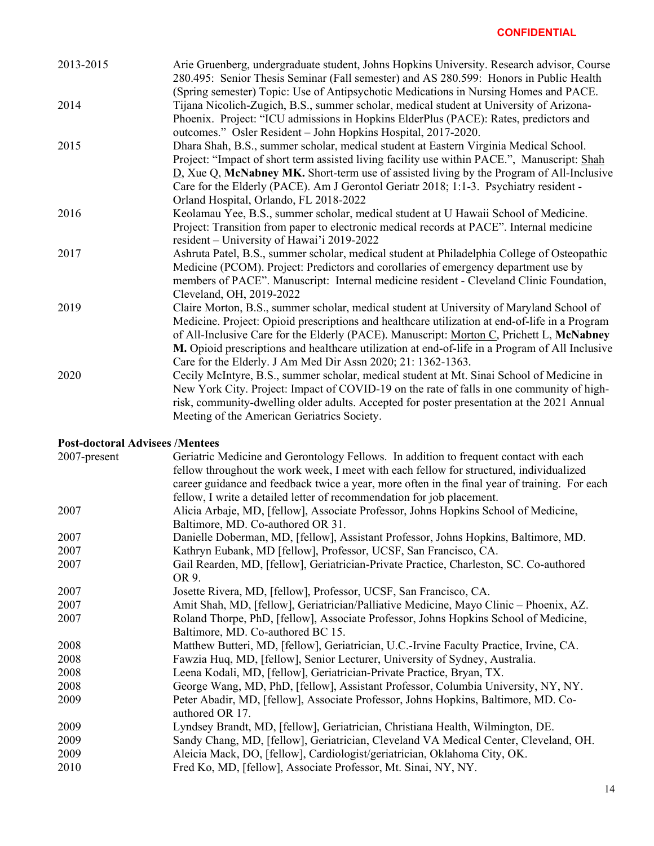| 2013-2015 | Arie Gruenberg, undergraduate student, Johns Hopkins University. Research advisor, Course<br>280.495: Senior Thesis Seminar (Fall semester) and AS 280.599: Honors in Public Health<br>(Spring semester) Topic: Use of Antipsychotic Medications in Nursing Homes and PACE.                                                                                                                                                                               |
|-----------|-----------------------------------------------------------------------------------------------------------------------------------------------------------------------------------------------------------------------------------------------------------------------------------------------------------------------------------------------------------------------------------------------------------------------------------------------------------|
| 2014      | Tijana Nicolich-Zugich, B.S., summer scholar, medical student at University of Arizona-<br>Phoenix. Project: "ICU admissions in Hopkins ElderPlus (PACE): Rates, predictors and<br>outcomes." Osler Resident - John Hopkins Hospital, 2017-2020.                                                                                                                                                                                                          |
| 2015      | Dhara Shah, B.S., summer scholar, medical student at Eastern Virginia Medical School.<br>Project: "Impact of short term assisted living facility use within PACE.", Manuscript: Shah<br>D, Xue Q, McNabney MK. Short-term use of assisted living by the Program of All-Inclusive<br>Care for the Elderly (PACE). Am J Gerontol Geriatr 2018; 1:1-3. Psychiatry resident -<br>Orland Hospital, Orlando, FL 2018-2022                                       |
| 2016      | Keolamau Yee, B.S., summer scholar, medical student at U Hawaii School of Medicine.<br>Project: Transition from paper to electronic medical records at PACE". Internal medicine<br>resident – University of Hawai'i 2019-2022                                                                                                                                                                                                                             |
| 2017      | Ashruta Patel, B.S., summer scholar, medical student at Philadelphia College of Osteopathic<br>Medicine (PCOM). Project: Predictors and corollaries of emergency department use by<br>members of PACE". Manuscript: Internal medicine resident - Cleveland Clinic Foundation,<br>Cleveland, OH, 2019-2022                                                                                                                                                 |
| 2019      | Claire Morton, B.S., summer scholar, medical student at University of Maryland School of<br>Medicine. Project: Opioid prescriptions and healthcare utilization at end-of-life in a Program<br>of All-Inclusive Care for the Elderly (PACE). Manuscript: Morton C, Prichett L, McNabney<br>M. Opioid prescriptions and healthcare utilization at end-of-life in a Program of All Inclusive<br>Care for the Elderly. J Am Med Dir Assn 2020; 21: 1362-1363. |
| 2020      | Cecily McIntyre, B.S., summer scholar, medical student at Mt. Sinai School of Medicine in<br>New York City. Project: Impact of COVID-19 on the rate of falls in one community of high-<br>risk, community-dwelling older adults. Accepted for poster presentation at the 2021 Annual<br>Meeting of the American Geriatrics Society.                                                                                                                       |

## **Post-doctoral Advisees /Mentees**

| 2007-present | Geriatric Medicine and Gerontology Fellows. In addition to frequent contact with each         |
|--------------|-----------------------------------------------------------------------------------------------|
|              | fellow throughout the work week, I meet with each fellow for structured, individualized       |
|              | career guidance and feedback twice a year, more often in the final year of training. For each |
|              | fellow, I write a detailed letter of recommendation for job placement.                        |
| 2007         | Alicia Arbaje, MD, [fellow], Associate Professor, Johns Hopkins School of Medicine,           |
|              | Baltimore, MD. Co-authored OR 31.                                                             |
| 2007         | Danielle Doberman, MD, [fellow], Assistant Professor, Johns Hopkins, Baltimore, MD.           |
| 2007         | Kathryn Eubank, MD [fellow], Professor, UCSF, San Francisco, CA.                              |
| 2007         | Gail Rearden, MD, [fellow], Geriatrician-Private Practice, Charleston, SC. Co-authored        |
|              | OR 9.                                                                                         |
| 2007         | Josette Rivera, MD, [fellow], Professor, UCSF, San Francisco, CA.                             |
| 2007         | Amit Shah, MD, [fellow], Geriatrician/Palliative Medicine, Mayo Clinic - Phoenix, AZ.         |
| 2007         | Roland Thorpe, PhD, [fellow], Associate Professor, Johns Hopkins School of Medicine,          |
|              | Baltimore, MD. Co-authored BC 15.                                                             |
| 2008         | Matthew Butteri, MD, [fellow], Geriatrician, U.C.-Irvine Faculty Practice, Irvine, CA.        |
| 2008         | Fawzia Huq, MD, [fellow], Senior Lecturer, University of Sydney, Australia.                   |
| 2008         | Leena Kodali, MD, [fellow], Geriatrician-Private Practice, Bryan, TX.                         |
| 2008         | George Wang, MD, PhD, [fellow], Assistant Professor, Columbia University, NY, NY.             |
| 2009         | Peter Abadir, MD, [fellow], Associate Professor, Johns Hopkins, Baltimore, MD. Co-            |
|              | authored OR 17.                                                                               |
| 2009         | Lyndsey Brandt, MD, [fellow], Geriatrician, Christiana Health, Wilmington, DE.                |
| 2009         | Sandy Chang, MD, [fellow], Geriatrician, Cleveland VA Medical Center, Cleveland, OH.          |
| 2009         | Aleicia Mack, DO, [fellow], Cardiologist/geriatrician, Oklahoma City, OK.                     |
| 2010         | Fred Ko, MD, [fellow], Associate Professor, Mt. Sinai, NY, NY.                                |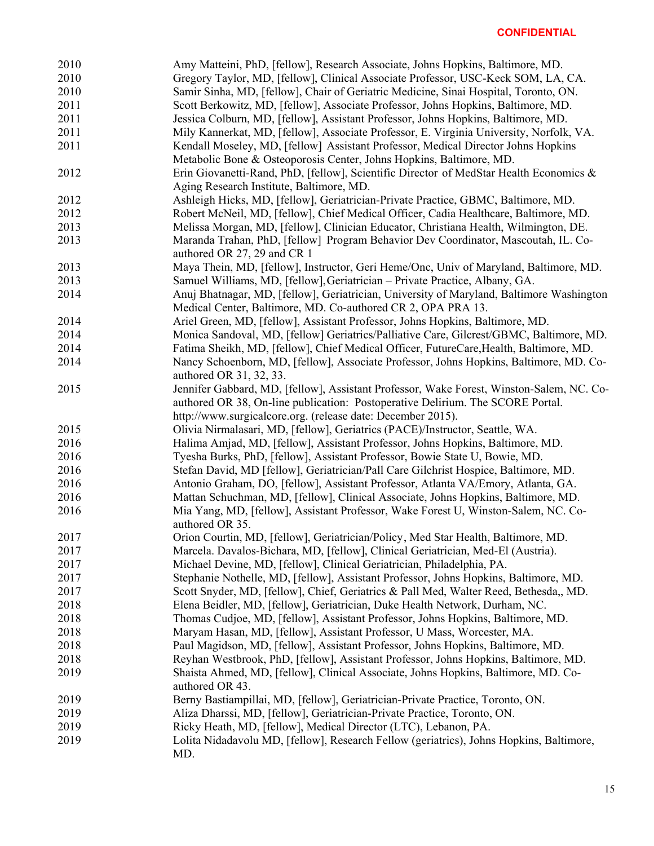| 2010 | Amy Matteini, PhD, [fellow], Research Associate, Johns Hopkins, Baltimore, MD.                                                                           |
|------|----------------------------------------------------------------------------------------------------------------------------------------------------------|
| 2010 | Gregory Taylor, MD, [fellow], Clinical Associate Professor, USC-Keck SOM, LA, CA.                                                                        |
| 2010 | Samir Sinha, MD, [fellow], Chair of Geriatric Medicine, Sinai Hospital, Toronto, ON.                                                                     |
| 2011 | Scott Berkowitz, MD, [fellow], Associate Professor, Johns Hopkins, Baltimore, MD.                                                                        |
| 2011 | Jessica Colburn, MD, [fellow], Assistant Professor, Johns Hopkins, Baltimore, MD.                                                                        |
| 2011 | Mily Kannerkat, MD, [fellow], Associate Professor, E. Virginia University, Norfolk, VA.                                                                  |
| 2011 | Kendall Moseley, MD, [fellow] Assistant Professor, Medical Director Johns Hopkins                                                                        |
|      | Metabolic Bone & Osteoporosis Center, Johns Hopkins, Baltimore, MD.                                                                                      |
| 2012 | Erin Giovanetti-Rand, PhD, [fellow], Scientific Director of MedStar Health Economics &                                                                   |
|      | Aging Research Institute, Baltimore, MD.                                                                                                                 |
| 2012 | Ashleigh Hicks, MD, [fellow], Geriatrician-Private Practice, GBMC, Baltimore, MD.                                                                        |
| 2012 | Robert McNeil, MD, [fellow], Chief Medical Officer, Cadia Healthcare, Baltimore, MD.                                                                     |
| 2013 | Melissa Morgan, MD, [fellow], Clinician Educator, Christiana Health, Wilmington, DE.                                                                     |
| 2013 |                                                                                                                                                          |
|      | Maranda Trahan, PhD, [fellow] Program Behavior Dev Coordinator, Mascoutah, IL. Co-<br>authored OR 27, 29 and CR 1                                        |
| 2013 | Maya Thein, MD, [fellow], Instructor, Geri Heme/Onc, Univ of Maryland, Baltimore, MD.                                                                    |
| 2013 | Samuel Williams, MD, [fellow], Geriatrician - Private Practice, Albany, GA.                                                                              |
| 2014 | Anuj Bhatnagar, MD, [fellow], Geriatrician, University of Maryland, Baltimore Washington<br>Medical Center, Baltimore, MD. Co-authored CR 2, OPA PRA 13. |
| 2014 | Ariel Green, MD, [fellow], Assistant Professor, Johns Hopkins, Baltimore, MD.                                                                            |
| 2014 | Monica Sandoval, MD, [fellow] Geriatrics/Palliative Care, Gilcrest/GBMC, Baltimore, MD.                                                                  |
| 2014 | Fatima Sheikh, MD, [fellow], Chief Medical Officer, FutureCare, Health, Baltimore, MD.                                                                   |
| 2014 | Nancy Schoenborn, MD, [fellow], Associate Professor, Johns Hopkins, Baltimore, MD. Co-                                                                   |
|      | authored OR 31, 32, 33.                                                                                                                                  |
| 2015 | Jennifer Gabbard, MD, [fellow], Assistant Professor, Wake Forest, Winston-Salem, NC. Co-                                                                 |
|      | authored OR 38, On-line publication: Postoperative Delirium. The SCORE Portal.                                                                           |
|      | http://www.surgicalcore.org. (release date: December 2015).                                                                                              |
| 2015 | Olivia Nirmalasari, MD, [fellow], Geriatrics (PACE)/Instructor, Seattle, WA.                                                                             |
| 2016 | Halima Amjad, MD, [fellow], Assistant Professor, Johns Hopkins, Baltimore, MD.                                                                           |
| 2016 | Tyesha Burks, PhD, [fellow], Assistant Professor, Bowie State U, Bowie, MD.                                                                              |
| 2016 | Stefan David, MD [fellow], Geriatrician/Pall Care Gilchrist Hospice, Baltimore, MD.                                                                      |
| 2016 | Antonio Graham, DO, [fellow], Assistant Professor, Atlanta VA/Emory, Atlanta, GA.                                                                        |
| 2016 | Mattan Schuchman, MD, [fellow], Clinical Associate, Johns Hopkins, Baltimore, MD.                                                                        |
| 2016 | Mia Yang, MD, [fellow], Assistant Professor, Wake Forest U, Winston-Salem, NC. Co-                                                                       |
|      | authored OR 35.                                                                                                                                          |
| 2017 | Orion Courtin, MD, [fellow], Geriatrician/Policy, Med Star Health, Baltimore, MD.                                                                        |
| 2017 | Marcela. Davalos-Bichara, MD, [fellow], Clinical Geriatrician, Med-El (Austria).                                                                         |
| 2017 | Michael Devine, MD, [fellow], Clinical Geriatrician, Philadelphia, PA.                                                                                   |
| 2017 | Stephanie Nothelle, MD, [fellow], Assistant Professor, Johns Hopkins, Baltimore, MD.                                                                     |
| 2017 | Scott Snyder, MD, [fellow], Chief, Geriatrics & Pall Med, Walter Reed, Bethesda,, MD.                                                                    |
| 2018 |                                                                                                                                                          |
|      | Elena Beidler, MD, [fellow], Geriatrician, Duke Health Network, Durham, NC.                                                                              |
| 2018 | Thomas Cudjoe, MD, [fellow], Assistant Professor, Johns Hopkins, Baltimore, MD.                                                                          |
| 2018 | Maryam Hasan, MD, [fellow], Assistant Professor, U Mass, Worcester, MA.                                                                                  |
| 2018 | Paul Magidson, MD, [fellow], Assistant Professor, Johns Hopkins, Baltimore, MD.                                                                          |
| 2018 | Reyhan Westbrook, PhD, [fellow], Assistant Professor, Johns Hopkins, Baltimore, MD.                                                                      |
| 2019 | Shaista Ahmed, MD, [fellow], Clinical Associate, Johns Hopkins, Baltimore, MD. Co-                                                                       |
|      | authored OR 43.                                                                                                                                          |
| 2019 | Berny Bastiampillai, MD, [fellow], Geriatrician-Private Practice, Toronto, ON.                                                                           |
| 2019 | Aliza Dharssi, MD, [fellow], Geriatrician-Private Practice, Toronto, ON.                                                                                 |
| 2019 | Ricky Heath, MD, [fellow], Medical Director (LTC), Lebanon, PA.                                                                                          |
| 2019 | Lolita Nidadavolu MD, [fellow], Research Fellow (geriatrics), Johns Hopkins, Baltimore,<br>MD.                                                           |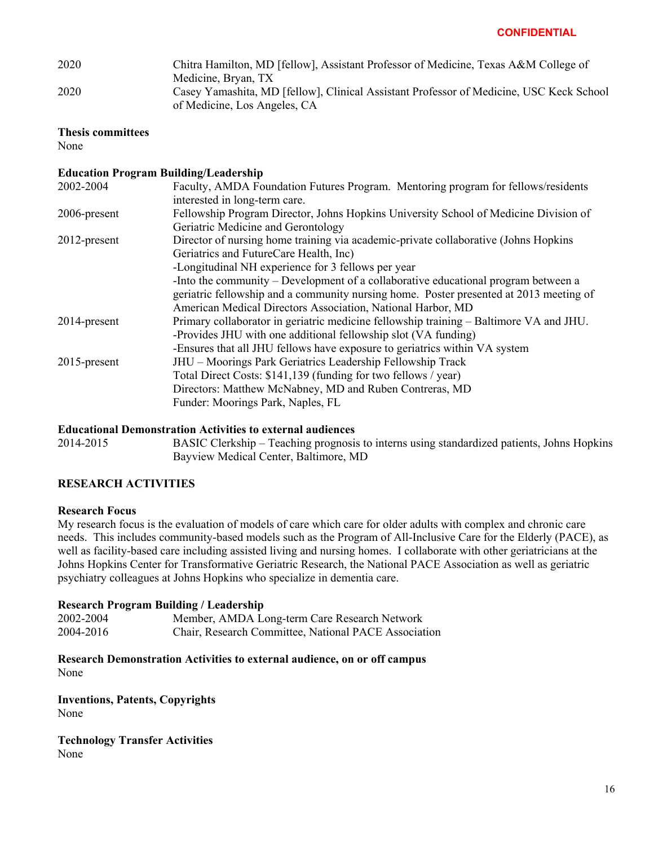| 2020 | Chitra Hamilton, MD [fellow], Assistant Professor of Medicine, Texas A&M College of     |
|------|-----------------------------------------------------------------------------------------|
|      | Medicine, Bryan, TX                                                                     |
| 2020 | Casey Yamashita, MD [fellow], Clinical Assistant Professor of Medicine, USC Keck School |
|      | of Medicine, Los Angeles, CA                                                            |

#### **Thesis committees**

None

## **Education Program Building/Leadership**

| 2002-2004       | Faculty, AMDA Foundation Futures Program. Mentoring program for fellows/residents      |
|-----------------|----------------------------------------------------------------------------------------|
|                 | interested in long-term care.                                                          |
| 2006-present    | Fellowship Program Director, Johns Hopkins University School of Medicine Division of   |
|                 | Geriatric Medicine and Gerontology                                                     |
| $2012$ -present | Director of nursing home training via academic-private collaborative (Johns Hopkins    |
|                 | Geriatrics and FutureCare Health, Inc)                                                 |
|                 | -Longitudinal NH experience for 3 fellows per year                                     |
|                 | -Into the community $-$ Development of a collaborative educational program between a   |
|                 | geriatric fellowship and a community nursing home. Poster presented at 2013 meeting of |
|                 | American Medical Directors Association, National Harbor, MD                            |
| 2014-present    | Primary collaborator in geriatric medicine fellowship training – Baltimore VA and JHU. |
|                 | -Provides JHU with one additional fellowship slot (VA funding)                         |
|                 | -Ensures that all JHU fellows have exposure to geriatrics within VA system             |
| $2015$ -present | JHU - Moorings Park Geriatrics Leadership Fellowship Track                             |
|                 | Total Direct Costs: \$141,139 (funding for two fellows / year)                         |
|                 | Directors: Matthew McNabney, MD and Ruben Contreras, MD                                |
|                 | Funder: Moorings Park, Naples, FL                                                      |
|                 |                                                                                        |

#### **Educational Demonstration Activities to external audiences**

2014-2015 BASIC Clerkship – Teaching prognosis to interns using standardized patients, Johns Hopkins Bayview Medical Center, Baltimore, MD

## **RESEARCH ACTIVITIES**

#### **Research Focus**

My research focus is the evaluation of models of care which care for older adults with complex and chronic care needs. This includes community-based models such as the Program of All-Inclusive Care for the Elderly (PACE), as well as facility-based care including assisted living and nursing homes. I collaborate with other geriatricians at the Johns Hopkins Center for Transformative Geriatric Research, the National PACE Association as well as geriatric psychiatry colleagues at Johns Hopkins who specialize in dementia care.

## **Research Program Building / Leadership**

| 2002-2004 | Member, AMDA Long-term Care Research Network         |
|-----------|------------------------------------------------------|
| 2004-2016 | Chair, Research Committee, National PACE Association |

**Research Demonstration Activities to external audience, on or off campus**  None

**Inventions, Patents, Copyrights** None

**Technology Transfer Activities** None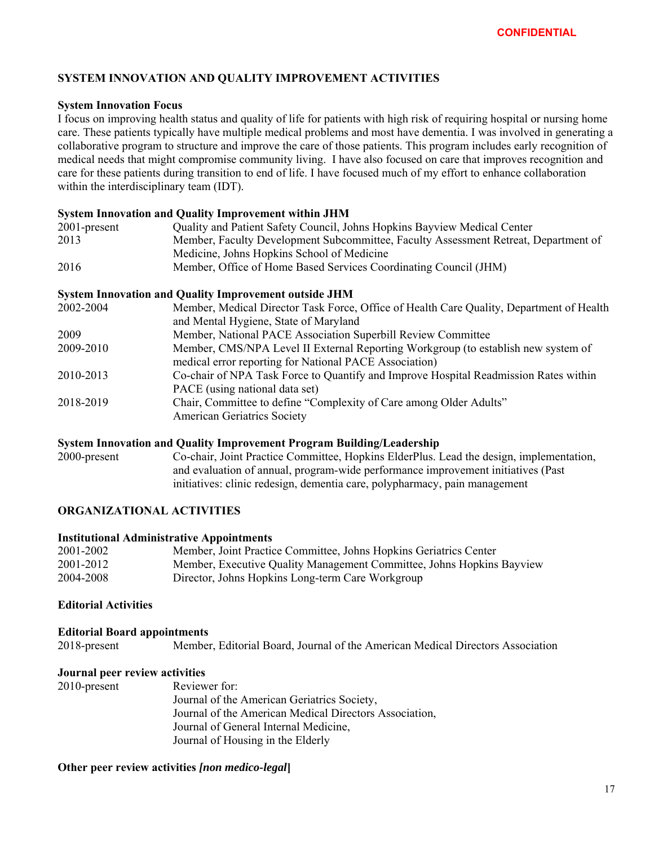## **SYSTEM INNOVATION AND QUALITY IMPROVEMENT ACTIVITIES**

#### **System Innovation Focus**

I focus on improving health status and quality of life for patients with high risk of requiring hospital or nursing home care. These patients typically have multiple medical problems and most have dementia. I was involved in generating a collaborative program to structure and improve the care of those patients. This program includes early recognition of medical needs that might compromise community living. I have also focused on care that improves recognition and care for these patients during transition to end of life. I have focused much of my effort to enhance collaboration within the interdisciplinary team (IDT).

#### **System Innovation and Quality Improvement within JHM**

| $2001$ -present | Quality and Patient Safety Council, Johns Hopkins Bayview Medical Center            |
|-----------------|-------------------------------------------------------------------------------------|
| 2013            | Member, Faculty Development Subcommittee, Faculty Assessment Retreat, Department of |
|                 | Medicine, Johns Hopkins School of Medicine                                          |
| 2016            | Member, Office of Home Based Services Coordinating Council (JHM)                    |

#### **System Innovation and Quality Improvement outside JHM**

| 2002-2004 | Member, Medical Director Task Force, Office of Health Care Quality, Department of Health |
|-----------|------------------------------------------------------------------------------------------|
|           | and Mental Hygiene, State of Maryland                                                    |
| 2009      | Member, National PACE Association Superbill Review Committee                             |
| 2009-2010 | Member, CMS/NPA Level II External Reporting Workgroup (to establish new system of        |
|           | medical error reporting for National PACE Association)                                   |
| 2010-2013 | Co-chair of NPA Task Force to Quantify and Improve Hospital Readmission Rates within     |
|           | PACE (using national data set)                                                           |
| 2018-2019 | Chair, Committee to define "Complexity of Care among Older Adults"                       |
|           | <b>American Geriatrics Society</b>                                                       |
|           |                                                                                          |

#### **System Innovation and Quality Improvement Program Building/Leadership**

2000-present Co-chair, Joint Practice Committee, Hopkins ElderPlus. Lead the design, implementation, and evaluation of annual, program-wide performance improvement initiatives (Past initiatives: clinic redesign, dementia care, polypharmacy, pain management

## **ORGANIZATIONAL ACTIVITIES**

#### **Institutional Administrative Appointments**

| 2001-2002 | Member, Joint Practice Committee, Johns Hopkins Geriatrics Center     |
|-----------|-----------------------------------------------------------------------|
| 2001-2012 | Member, Executive Quality Management Committee, Johns Hopkins Bayview |
| 2004-2008 | Director, Johns Hopkins Long-term Care Workgroup                      |

## **Editorial Activities**

#### **Editorial Board appointments**  2018-present Member, Editorial Board, Journal of the American Medical Directors Association

#### **Journal peer review activities**

| $2010$ -present | Reviewer for:                                          |
|-----------------|--------------------------------------------------------|
|                 | Journal of the American Geriatrics Society,            |
|                 | Journal of the American Medical Directors Association, |
|                 | Journal of General Internal Medicine,                  |
|                 | Journal of Housing in the Elderly                      |
|                 |                                                        |

**Other peer review activities** *[non medico-legal***]**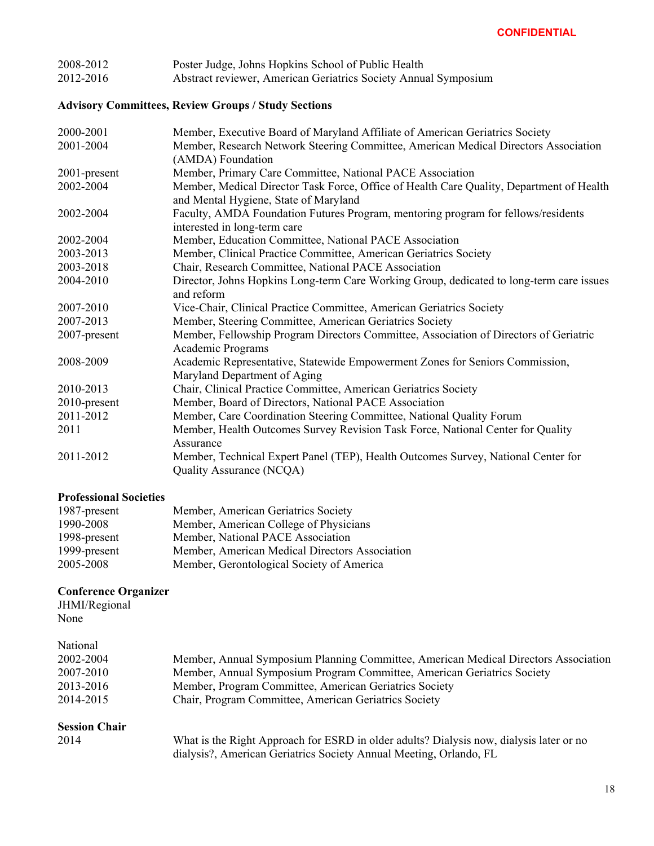| 2008-2012 | Poster Judge, Johns Hopkins School of Public Health             |
|-----------|-----------------------------------------------------------------|
| 2012-2016 | Abstract reviewer, American Geriatrics Society Annual Symposium |

# **Advisory Committees, Review Groups / Study Sections**

| 2000-2001       | Member, Executive Board of Maryland Affiliate of American Geriatrics Society                                                      |
|-----------------|-----------------------------------------------------------------------------------------------------------------------------------|
| 2001-2004       | Member, Research Network Steering Committee, American Medical Directors Association<br>(AMDA) Foundation                          |
| $2001$ -present | Member, Primary Care Committee, National PACE Association                                                                         |
| 2002-2004       | Member, Medical Director Task Force, Office of Health Care Quality, Department of Health<br>and Mental Hygiene, State of Maryland |
| 2002-2004       | Faculty, AMDA Foundation Futures Program, mentoring program for fellows/residents<br>interested in long-term care                 |
| 2002-2004       | Member, Education Committee, National PACE Association                                                                            |
| 2003-2013       | Member, Clinical Practice Committee, American Geriatrics Society                                                                  |
| 2003-2018       | Chair, Research Committee, National PACE Association                                                                              |
| 2004-2010       | Director, Johns Hopkins Long-term Care Working Group, dedicated to long-term care issues<br>and reform                            |
| 2007-2010       | Vice-Chair, Clinical Practice Committee, American Geriatrics Society                                                              |
| 2007-2013       | Member, Steering Committee, American Geriatrics Society                                                                           |
| 2007-present    | Member, Fellowship Program Directors Committee, Association of Directors of Geriatric<br>Academic Programs                        |
| 2008-2009       | Academic Representative, Statewide Empowerment Zones for Seniors Commission,<br>Maryland Department of Aging                      |
| 2010-2013       | Chair, Clinical Practice Committee, American Geriatrics Society                                                                   |
| $2010$ -present | Member, Board of Directors, National PACE Association                                                                             |
| 2011-2012       | Member, Care Coordination Steering Committee, National Quality Forum                                                              |
| 2011            | Member, Health Outcomes Survey Revision Task Force, National Center for Quality<br>Assurance                                      |
| 2011-2012       | Member, Technical Expert Panel (TEP), Health Outcomes Survey, National Center for<br>Quality Assurance (NCQA)                     |

# **Professional Societies**

| 1987-present | Member, American Geriatrics Society            |
|--------------|------------------------------------------------|
| 1990-2008    | Member, American College of Physicians         |
| 1998-present | Member, National PACE Association              |
| 1999-present | Member, American Medical Directors Association |
| 2005-2008    | Member, Gerontological Society of America      |
|              |                                                |

# **Conference Organizer**

JHMI/Regional None

| Member, Annual Symposium Planning Committee, American Medical Directors Association                                                                           |
|---------------------------------------------------------------------------------------------------------------------------------------------------------------|
| Member, Annual Symposium Program Committee, American Geriatrics Society                                                                                       |
| Member, Program Committee, American Geriatrics Society                                                                                                        |
| Chair, Program Committee, American Geriatrics Society                                                                                                         |
|                                                                                                                                                               |
| What is the Right Approach for ESRD in older adults? Dialysis now, dialysis later or no<br>dialysis?, American Geriatrics Society Annual Meeting, Orlando, FL |
|                                                                                                                                                               |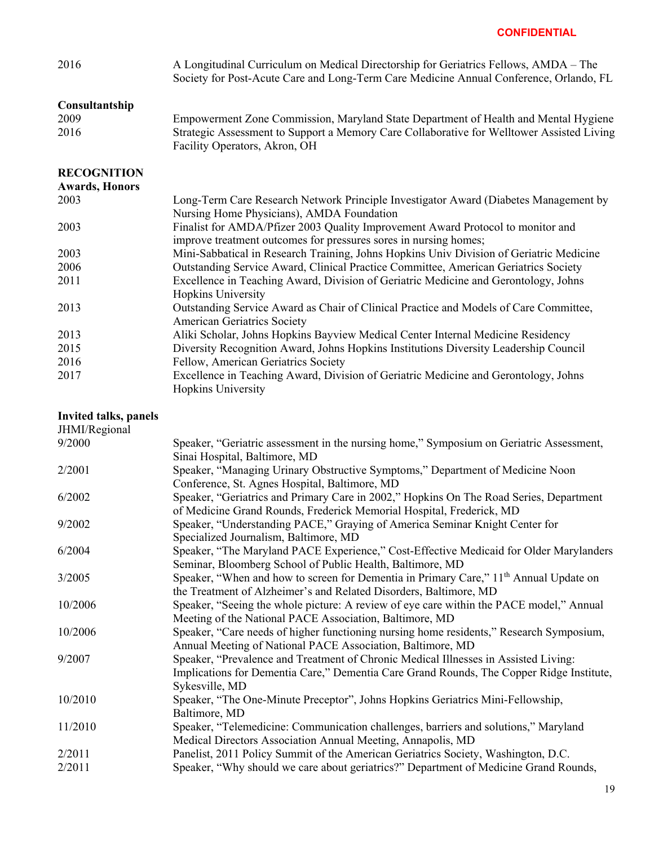| 2016                         | A Longitudinal Curriculum on Medical Directorship for Geriatrics Fellows, AMDA – The<br>Society for Post-Acute Care and Long-Term Care Medicine Annual Conference, Orlando, FL                    |
|------------------------------|---------------------------------------------------------------------------------------------------------------------------------------------------------------------------------------------------|
| Consultantship               |                                                                                                                                                                                                   |
| 2009                         | Empowerment Zone Commission, Maryland State Department of Health and Mental Hygiene                                                                                                               |
| 2016                         | Strategic Assessment to Support a Memory Care Collaborative for Welltower Assisted Living<br>Facility Operators, Akron, OH                                                                        |
| <b>RECOGNITION</b>           |                                                                                                                                                                                                   |
| <b>Awards, Honors</b>        |                                                                                                                                                                                                   |
| 2003                         | Long-Term Care Research Network Principle Investigator Award (Diabetes Management by<br>Nursing Home Physicians), AMDA Foundation                                                                 |
| 2003                         | Finalist for AMDA/Pfizer 2003 Quality Improvement Award Protocol to monitor and<br>improve treatment outcomes for pressures sores in nursing homes;                                               |
| 2003                         | Mini-Sabbatical in Research Training, Johns Hopkins Univ Division of Geriatric Medicine                                                                                                           |
| 2006                         | Outstanding Service Award, Clinical Practice Committee, American Geriatrics Society                                                                                                               |
| 2011                         | Excellence in Teaching Award, Division of Geriatric Medicine and Gerontology, Johns<br>Hopkins University                                                                                         |
| 2013                         | Outstanding Service Award as Chair of Clinical Practice and Models of Care Committee,<br><b>American Geriatrics Society</b>                                                                       |
| 2013                         | Aliki Scholar, Johns Hopkins Bayview Medical Center Internal Medicine Residency                                                                                                                   |
| 2015                         | Diversity Recognition Award, Johns Hopkins Institutions Diversity Leadership Council                                                                                                              |
| 2016                         | Fellow, American Geriatrics Society                                                                                                                                                               |
| 2017                         | Excellence in Teaching Award, Division of Geriatric Medicine and Gerontology, Johns<br>Hopkins University                                                                                         |
| <b>Invited talks, panels</b> |                                                                                                                                                                                                   |
| JHMI/Regional                |                                                                                                                                                                                                   |
| 9/2000                       | Speaker, "Geriatric assessment in the nursing home," Symposium on Geriatric Assessment,<br>Sinai Hospital, Baltimore, MD                                                                          |
| 2/2001                       | Speaker, "Managing Urinary Obstructive Symptoms," Department of Medicine Noon<br>Conference, St. Agnes Hospital, Baltimore, MD                                                                    |
| 6/2002                       | Speaker, "Geriatrics and Primary Care in 2002," Hopkins On The Road Series, Department<br>of Medicine Grand Rounds, Frederick Memorial Hospital, Frederick, MD                                    |
| 9/2002                       | Speaker, "Understanding PACE," Graying of America Seminar Knight Center for<br>Specialized Journalism, Baltimore, MD                                                                              |
| 6/2004                       | Speaker, "The Maryland PACE Experience," Cost-Effective Medicaid for Older Marylanders<br>Seminar, Bloomberg School of Public Health, Baltimore, MD                                               |
| 3/2005                       | Speaker, "When and how to screen for Dementia in Primary Care," 11 <sup>th</sup> Annual Update on<br>the Treatment of Alzheimer's and Related Disorders, Baltimore, MD                            |
| 10/2006                      | Speaker, "Seeing the whole picture: A review of eye care within the PACE model," Annual<br>Meeting of the National PACE Association, Baltimore, MD                                                |
| 10/2006                      | Speaker, "Care needs of higher functioning nursing home residents," Research Symposium,<br>Annual Meeting of National PACE Association, Baltimore, MD                                             |
| 9/2007                       | Speaker, "Prevalence and Treatment of Chronic Medical Illnesses in Assisted Living:<br>Implications for Dementia Care," Dementia Care Grand Rounds, The Copper Ridge Institute,<br>Sykesville, MD |
| 10/2010                      | Speaker, "The One-Minute Preceptor", Johns Hopkins Geriatrics Mini-Fellowship,<br>Baltimore, MD                                                                                                   |
| 11/2010                      | Speaker, "Telemedicine: Communication challenges, barriers and solutions," Maryland<br>Medical Directors Association Annual Meeting, Annapolis, MD                                                |
| 2/2011                       | Panelist, 2011 Policy Summit of the American Geriatrics Society, Washington, D.C.                                                                                                                 |
| 2/2011                       | Speaker, "Why should we care about geriatrics?" Department of Medicine Grand Rounds,                                                                                                              |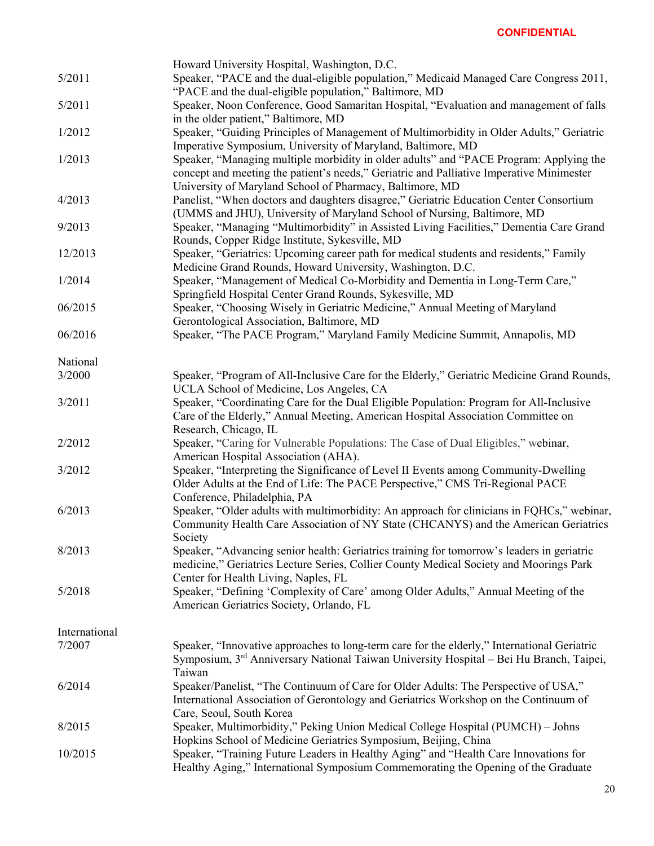|               | Howard University Hospital, Washington, D.C.                                                |
|---------------|---------------------------------------------------------------------------------------------|
| 5/2011        | Speaker, "PACE and the dual-eligible population," Medicaid Managed Care Congress 2011,      |
|               | "PACE and the dual-eligible population," Baltimore, MD                                      |
| 5/2011        | Speaker, Noon Conference, Good Samaritan Hospital, "Evaluation and management of falls      |
|               | in the older patient," Baltimore, MD                                                        |
| 1/2012        | Speaker, "Guiding Principles of Management of Multimorbidity in Older Adults," Geriatric    |
|               | Imperative Symposium, University of Maryland, Baltimore, MD                                 |
| 1/2013        | Speaker, "Managing multiple morbidity in older adults" and "PACE Program: Applying the      |
|               | concept and meeting the patient's needs," Geriatric and Palliative Imperative Minimester    |
|               | University of Maryland School of Pharmacy, Baltimore, MD                                    |
| 4/2013        | Panelist, "When doctors and daughters disagree," Geriatric Education Center Consortium      |
|               | (UMMS and JHU), University of Maryland School of Nursing, Baltimore, MD                     |
| 9/2013        | Speaker, "Managing "Multimorbidity" in Assisted Living Facilities," Dementia Care Grand     |
|               | Rounds, Copper Ridge Institute, Sykesville, MD                                              |
| 12/2013       | Speaker, "Geriatrics: Upcoming career path for medical students and residents," Family      |
|               | Medicine Grand Rounds, Howard University, Washington, D.C.                                  |
| 1/2014        | Speaker, "Management of Medical Co-Morbidity and Dementia in Long-Term Care,"               |
|               | Springfield Hospital Center Grand Rounds, Sykesville, MD                                    |
| 06/2015       | Speaker, "Choosing Wisely in Geriatric Medicine," Annual Meeting of Maryland                |
|               | Gerontological Association, Baltimore, MD                                                   |
| 06/2016       | Speaker, "The PACE Program," Maryland Family Medicine Summit, Annapolis, MD                 |
|               |                                                                                             |
| National      |                                                                                             |
| 3/2000        | Speaker, "Program of All-Inclusive Care for the Elderly," Geriatric Medicine Grand Rounds,  |
|               | UCLA School of Medicine, Los Angeles, CA                                                    |
| 3/2011        | Speaker, "Coordinating Care for the Dual Eligible Population: Program for All-Inclusive     |
|               | Care of the Elderly," Annual Meeting, American Hospital Association Committee on            |
|               | Research, Chicago, IL                                                                       |
| 2/2012        | Speaker, "Caring for Vulnerable Populations: The Case of Dual Eligibles," webinar,          |
|               | American Hospital Association (AHA).                                                        |
| 3/2012        | Speaker, "Interpreting the Significance of Level II Events among Community-Dwelling         |
|               | Older Adults at the End of Life: The PACE Perspective," CMS Tri-Regional PACE               |
|               | Conference, Philadelphia, PA                                                                |
| 6/2013        | Speaker, "Older adults with multimorbidity: An approach for clinicians in FQHCs," webinar,  |
|               | Community Health Care Association of NY State (CHCANYS) and the American Geriatrics         |
|               | Society                                                                                     |
| 8/2013        | Speaker, "Advancing senior health: Geriatrics training for tomorrow's leaders in geriatric  |
|               | medicine," Geriatrics Lecture Series, Collier County Medical Society and Moorings Park      |
|               | Center for Health Living, Naples, FL                                                        |
| 5/2018        | Speaker, "Defining 'Complexity of Care' among Older Adults," Annual Meeting of the          |
|               | American Geriatrics Society, Orlando, FL                                                    |
|               |                                                                                             |
| International |                                                                                             |
| 7/2007        | Speaker, "Innovative approaches to long-term care for the elderly," International Geriatric |
|               | Symposium, 3rd Anniversary National Taiwan University Hospital - Bei Hu Branch, Taipei,     |
|               | Taiwan                                                                                      |
| 6/2014        | Speaker/Panelist, "The Continuum of Care for Older Adults: The Perspective of USA,"         |
|               | International Association of Gerontology and Geriatrics Workshop on the Continuum of        |
|               | Care, Seoul, South Korea                                                                    |
| 8/2015        | Speaker, Multimorbidity," Peking Union Medical College Hospital (PUMCH) – Johns             |
|               | Hopkins School of Medicine Geriatrics Symposium, Beijing, China                             |
| 10/2015       | Speaker, "Training Future Leaders in Healthy Aging" and "Health Care Innovations for        |
|               | Healthy Aging," International Symposium Commemorating the Opening of the Graduate           |
|               |                                                                                             |